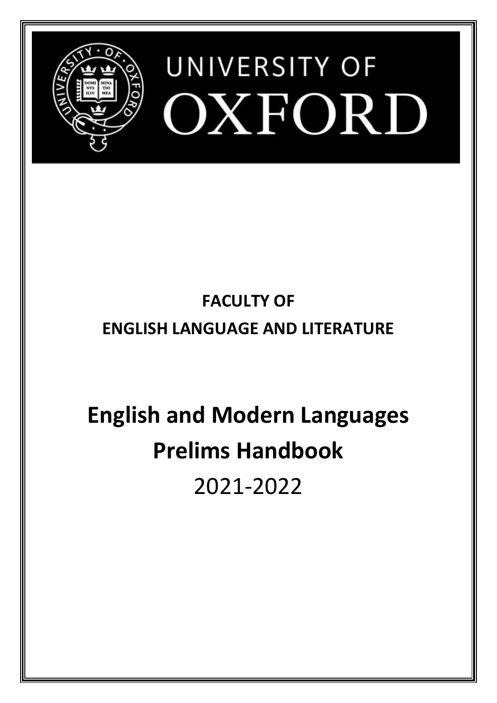

# **FACULTY OF**

# **ENGLISH LANGUAGE AND LITERATURE**

# **English and Modern Languages Prelims Handbook** 2021-2022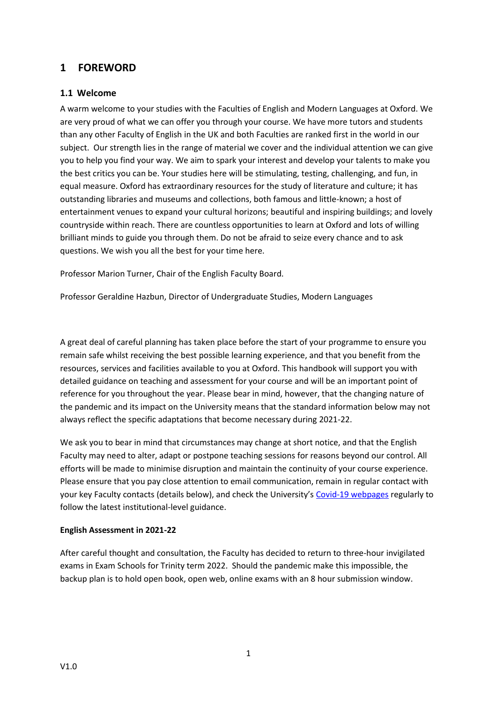# <span id="page-1-0"></span>**1 FOREWORD**

#### <span id="page-1-1"></span>**1.1 Welcome**

A warm welcome to your studies with the Faculties of English and Modern Languages at Oxford. We are very proud of what we can offer you through your course. We have more tutors and students than any other Faculty of English in the UK and both Faculties are ranked first in the world in our subject. Our strength lies in the range of material we cover and the individual attention we can give you to help you find your way. We aim to spark your interest and develop your talents to make you the best critics you can be. Your studies here will be stimulating, testing, challenging, and fun, in equal measure. Oxford has extraordinary resources for the study of literature and culture; it has outstanding libraries and museums and collections, both famous and little-known; a host of entertainment venues to expand your cultural horizons; beautiful and inspiring buildings; and lovely countryside within reach. There are countless opportunities to learn at Oxford and lots of willing brilliant minds to guide you through them. Do not be afraid to seize every chance and to ask questions. We wish you all the best for your time here.

Professor Marion Turner, Chair of the English Faculty Board.

Professor Geraldine Hazbun, Director of Undergraduate Studies, Modern Languages

A great deal of careful planning has taken place before the start of your programme to ensure you remain safe whilst receiving the best possible learning experience, and that you benefit from the resources, services and facilities available to you at Oxford. This handbook will support you with detailed guidance on teaching and assessment for your course and will be an important point of reference for you throughout the year. Please bear in mind, however, that the changing nature of the pandemic and its impact on the University means that the standard information below may not always reflect the specific adaptations that become necessary during 2021-22.

We ask you to bear in mind that circumstances may change at short notice, and that the English Faculty may need to alter, adapt or postpone teaching sessions for reasons beyond our control. All efforts will be made to minimise disruption and maintain the continuity of your course experience. Please ensure that you pay close attention to email communication, remain in regular contact with your key Faculty contacts (details below), and check the University's [Covid-19 webpages](https://www.ox.ac.uk/coronavirus/students) regularly to follow the latest institutional-level guidance.

#### **English Assessment in 2021-22**

After careful thought and consultation, the Faculty has decided to return to three-hour invigilated exams in Exam Schools for Trinity term 2022. Should the pandemic make this impossible, the backup plan is to hold open book, open web, online exams with an 8 hour submission window.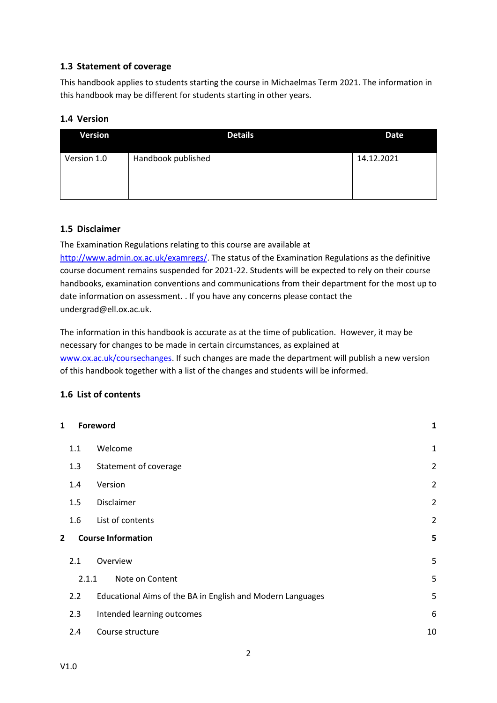# <span id="page-2-0"></span>**1.3 Statement of coverage**

This handbook applies to students starting the course in Michaelmas Term 2021. The information in this handbook may be different for students starting in other years.

#### <span id="page-2-1"></span>**1.4 Version**

| <b>Version</b> | <b>Details</b>     | Date       |
|----------------|--------------------|------------|
| Version 1.0    | Handbook published | 14.12.2021 |
|                |                    |            |

# <span id="page-2-2"></span>**1.5 Disclaimer**

The Examination Regulations relating to this course are available at [http://www.admin.ox.ac.uk/examregs/.](http://www.admin.ox.ac.uk/examregs/) The status of the Examination Regulations as the definitive course document remains suspended for 2021-22. Students will be expected to rely on their course handbooks, examination conventions and communications from their department for the most up to date information on assessment. . If you have any concerns please contact the undergrad@ell.ox.ac.uk.

The information in this handbook is accurate as at the time of publication. However, it may be necessary for changes to be made in certain circumstances, as explained at [www.ox.ac.uk/coursechanges.](http://www.ox.ac.uk/coursechanges) If such changes are made the department will publish a new version of this handbook together with a list of the changes and students will be informed.

# <span id="page-2-3"></span>**1.6 List of contents**

| 1 |       | Foreword                                                   | $\mathbf{1}$   |
|---|-------|------------------------------------------------------------|----------------|
|   | 1.1   | Welcome                                                    | $\mathbf 1$    |
|   | 1.3   | Statement of coverage                                      | $\overline{2}$ |
|   | 1.4   | Version                                                    | $\overline{2}$ |
|   | 1.5   | Disclaimer                                                 | $\overline{2}$ |
|   | 1.6   | List of contents                                           | $\overline{2}$ |
| 2 |       | <b>Course Information</b>                                  | 5              |
|   | 2.1   | Overview                                                   | 5              |
|   | 2.1.1 | Note on Content                                            | 5              |
|   | 2.2   | Educational Aims of the BA in English and Modern Languages | 5              |
|   | 2.3   | Intended learning outcomes                                 | 6              |
|   | 2.4   | Course structure                                           | 10             |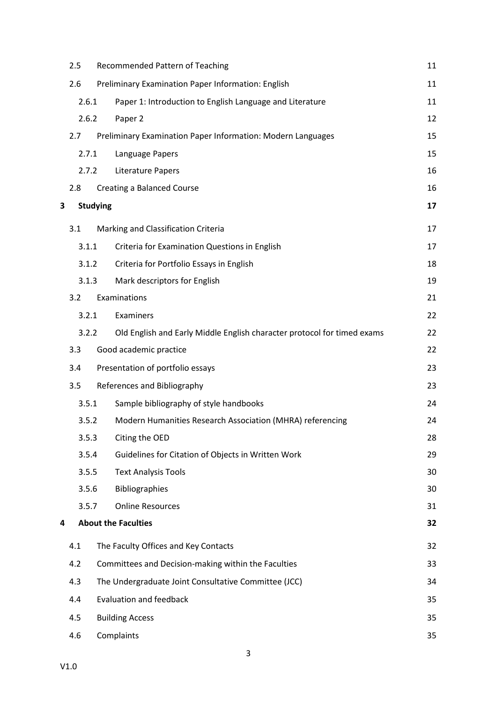|   | 2.5   | Recommended Pattern of Teaching                                         | 11 |
|---|-------|-------------------------------------------------------------------------|----|
|   | 2.6   | Preliminary Examination Paper Information: English                      | 11 |
|   | 2.6.1 | Paper 1: Introduction to English Language and Literature                | 11 |
|   | 2.6.2 | Paper 2                                                                 | 12 |
|   | 2.7   | Preliminary Examination Paper Information: Modern Languages             | 15 |
|   | 2.7.1 | Language Papers                                                         | 15 |
|   | 2.7.2 | Literature Papers                                                       | 16 |
|   | 2.8   | <b>Creating a Balanced Course</b>                                       | 16 |
| 3 |       | <b>Studying</b>                                                         | 17 |
|   | 3.1   | Marking and Classification Criteria                                     | 17 |
|   | 3.1.1 | Criteria for Examination Questions in English                           | 17 |
|   | 3.1.2 | Criteria for Portfolio Essays in English                                | 18 |
|   | 3.1.3 | Mark descriptors for English                                            | 19 |
|   | 3.2   | Examinations                                                            | 21 |
|   | 3.2.1 | Examiners                                                               | 22 |
|   | 3.2.2 | Old English and Early Middle English character protocol for timed exams | 22 |
|   | 3.3   | Good academic practice                                                  | 22 |
|   | 3.4   | Presentation of portfolio essays                                        | 23 |
|   | 3.5   | References and Bibliography                                             | 23 |
|   | 3.5.1 | Sample bibliography of style handbooks                                  | 24 |
|   | 3.5.2 | Modern Humanities Research Association (MHRA) referencing               | 24 |
|   | 3.5.3 | Citing the OED                                                          | 28 |
|   | 3.5.4 | Guidelines for Citation of Objects in Written Work                      | 29 |
|   | 3.5.5 | <b>Text Analysis Tools</b>                                              | 30 |
|   | 3.5.6 | <b>Bibliographies</b>                                                   | 30 |
|   | 3.5.7 | <b>Online Resources</b>                                                 | 31 |
| 4 |       | <b>About the Faculties</b>                                              | 32 |
|   | 4.1   | The Faculty Offices and Key Contacts                                    | 32 |
|   | 4.2   | Committees and Decision-making within the Faculties                     | 33 |
|   | 4.3   | The Undergraduate Joint Consultative Committee (JCC)                    | 34 |
|   | 4.4   | <b>Evaluation and feedback</b>                                          | 35 |
|   | 4.5   | <b>Building Access</b>                                                  | 35 |
|   | 4.6   | Complaints                                                              | 35 |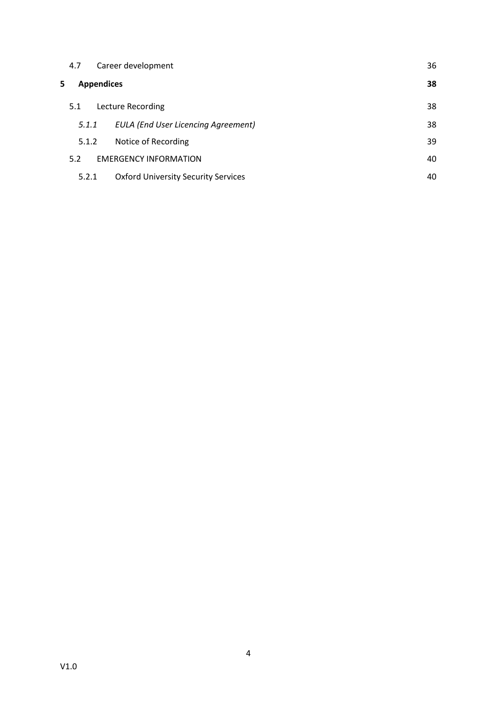|    | 4.7   | Career development                         | 36 |
|----|-------|--------------------------------------------|----|
| 5. |       | <b>Appendices</b>                          | 38 |
|    | 5.1   | Lecture Recording                          | 38 |
|    | 5.1.1 | <b>EULA (End User Licencing Agreement)</b> | 38 |
|    | 5.1.2 | Notice of Recording                        | 39 |
|    | 5.2   | <b>EMERGENCY INFORMATION</b>               | 40 |
|    | 5.2.1 | <b>Oxford University Security Services</b> | 40 |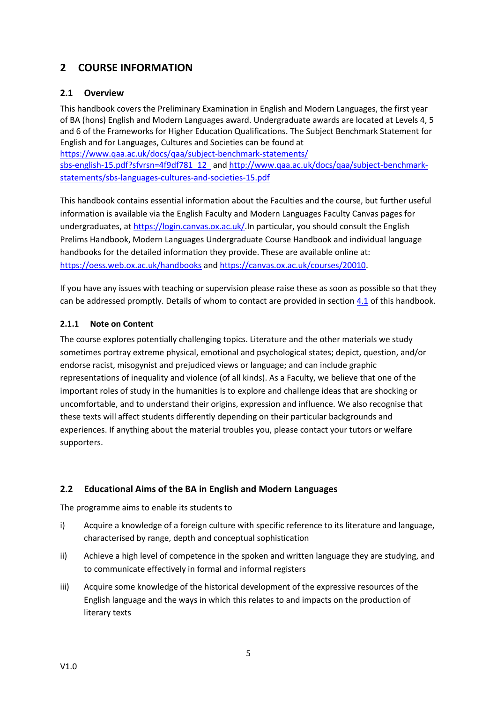# <span id="page-5-0"></span>**2 COURSE INFORMATION**

# <span id="page-5-1"></span>**2.1 Overview**

This handbook covers the Preliminary Examination in English and Modern Languages, the first year of BA (hons) English and Modern Languages award. Undergraduate awards are located at Levels 4, 5 and 6 of the Frameworks for Higher Education Qualifications. The Subject Benchmark Statement for English and for Languages, Cultures and Societies can be found at [https://www.qaa.ac.uk/docs/qaa/subject-benchmark-statements/](https://www.qaa.ac.uk/docs/qaa/subject-benchmark-statements/sbs-english-15.pdf?sfvrsn=4f9df781_12) [sbs-english-15.pdf?sfvrsn=4f9df781\\_12](https://www.qaa.ac.uk/docs/qaa/subject-benchmark-statements/sbs-english-15.pdf?sfvrsn=4f9df781_12) an[d http://www.qaa.ac.uk/docs/qaa/subject-benchmark-](http://www.qaa.ac.uk/docs/qaa/subject-benchmark-statements/sbs-languages-cultures-and-societies-15.pdf)

[statements/sbs-languages-cultures-and-societies-15.pdf](http://www.qaa.ac.uk/docs/qaa/subject-benchmark-statements/sbs-languages-cultures-and-societies-15.pdf)

This handbook contains essential information about the Faculties and the course, but further useful information is available via the English Faculty and Modern Languages Faculty Canvas pages for undergraduates, at [https://login.canvas.ox.ac.uk/.](https://login.canvas.ox.ac.uk/)In particular, you should consult the English Prelims Handbook, Modern Languages Undergraduate Course Handbook and individual language handbooks for the detailed information they provide. These are available online at: <https://oess.web.ox.ac.uk/handbooks> and [https://canvas.ox.ac.uk/courses/20010.](https://canvas.ox.ac.uk/courses/20010)

If you have any issues with teaching or supervision please raise these as soon as possible so that they can be addressed promptly. Details of whom to contact are provided in section  $4.1$  of this handbook.

#### <span id="page-5-2"></span>**2.1.1 Note on Content**

The course explores potentially challenging topics. Literature and the other materials we study sometimes portray extreme physical, emotional and psychological states; depict, question, and/or endorse racist, misogynist and prejudiced views or language; and can include graphic representations of inequality and violence (of all kinds). As a Faculty, we believe that one of the important roles of study in the humanities is to explore and challenge ideas that are shocking or uncomfortable, and to understand their origins, expression and influence. We also recognise that these texts will affect students differently depending on their particular backgrounds and experiences. If anything about the material troubles you, please contact your tutors or welfare supporters.

# <span id="page-5-3"></span>**2.2 Educational Aims of the BA in English and Modern Languages**

The programme aims to enable its students to

- i) Acquire a knowledge of a foreign culture with specific reference to its literature and language, characterised by range, depth and conceptual sophistication
- ii) Achieve a high level of competence in the spoken and written language they are studying, and to communicate effectively in formal and informal registers
- iii) Acquire some knowledge of the historical development of the expressive resources of the English language and the ways in which this relates to and impacts on the production of literary texts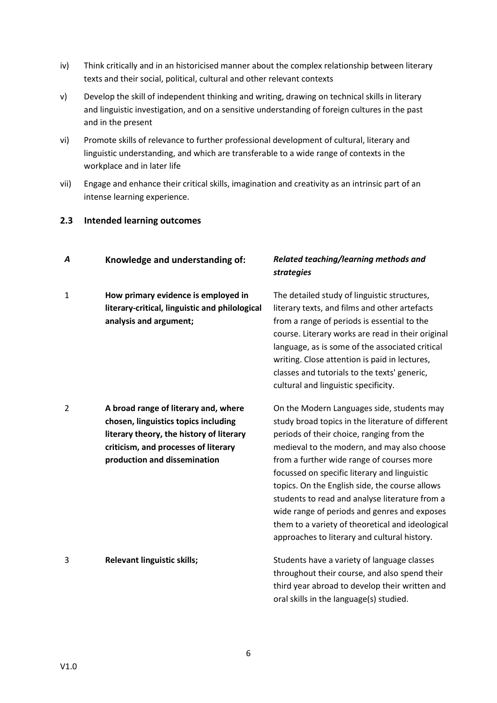- iv) Think critically and in an historicised manner about the complex relationship between literary texts and their social, political, cultural and other relevant contexts
- v) Develop the skill of independent thinking and writing, drawing on technical skills in literary and linguistic investigation, and on a sensitive understanding of foreign cultures in the past and in the present
- vi) Promote skills of relevance to further professional development of cultural, literary and linguistic understanding, and which are transferable to a wide range of contexts in the workplace and in later life
- vii) Engage and enhance their critical skills, imagination and creativity as an intrinsic part of an intense learning experience.

#### <span id="page-6-0"></span>**2.3 Intended learning outcomes**

| A              | Knowledge and understanding of:                                                                                                                                                                  | Related teaching/learning methods and<br><b>strategies</b>                                                                                                                                                                                                                                                                                                                                                                                                                                                                                       |
|----------------|--------------------------------------------------------------------------------------------------------------------------------------------------------------------------------------------------|--------------------------------------------------------------------------------------------------------------------------------------------------------------------------------------------------------------------------------------------------------------------------------------------------------------------------------------------------------------------------------------------------------------------------------------------------------------------------------------------------------------------------------------------------|
| $\mathbf{1}$   | How primary evidence is employed in<br>literary-critical, linguistic and philological<br>analysis and argument;                                                                                  | The detailed study of linguistic structures,<br>literary texts, and films and other artefacts<br>from a range of periods is essential to the<br>course. Literary works are read in their original<br>language, as is some of the associated critical<br>writing. Close attention is paid in lectures,<br>classes and tutorials to the texts' generic,<br>cultural and linguistic specificity.                                                                                                                                                    |
| $\overline{2}$ | A broad range of literary and, where<br>chosen, linguistics topics including<br>literary theory, the history of literary<br>criticism, and processes of literary<br>production and dissemination | On the Modern Languages side, students may<br>study broad topics in the literature of different<br>periods of their choice, ranging from the<br>medieval to the modern, and may also choose<br>from a further wide range of courses more<br>focussed on specific literary and linguistic<br>topics. On the English side, the course allows<br>students to read and analyse literature from a<br>wide range of periods and genres and exposes<br>them to a variety of theoretical and ideological<br>approaches to literary and cultural history. |
| 3              | Relevant linguistic skills;                                                                                                                                                                      | Students have a variety of language classes<br>throughout their course, and also spend their<br>third year abroad to develop their written and<br>oral skills in the language(s) studied.                                                                                                                                                                                                                                                                                                                                                        |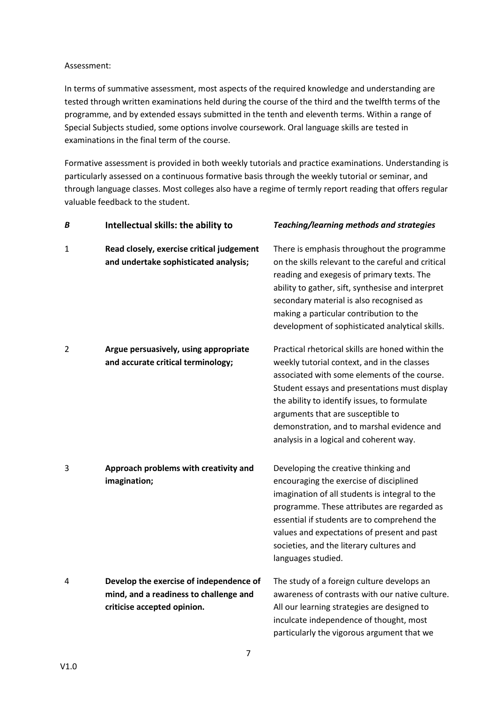#### Assessment:

In terms of summative assessment, most aspects of the required knowledge and understanding are tested through written examinations held during the course of the third and the twelfth terms of the programme, and by extended essays submitted in the tenth and eleventh terms. Within a range of Special Subjects studied, some options involve coursework. Oral language skills are tested in examinations in the final term of the course.

Formative assessment is provided in both weekly tutorials and practice examinations. Understanding is particularly assessed on a continuous formative basis through the weekly tutorial or seminar, and through language classes. Most colleges also have a regime of termly report reading that offers regular valuable feedback to the student.

| Β              | Intellectual skills: the ability to                                                                              | Teaching/learning methods and strategies                                                                                                                                                                                                                                                                                                                                       |
|----------------|------------------------------------------------------------------------------------------------------------------|--------------------------------------------------------------------------------------------------------------------------------------------------------------------------------------------------------------------------------------------------------------------------------------------------------------------------------------------------------------------------------|
| 1              | Read closely, exercise critical judgement<br>and undertake sophisticated analysis;                               | There is emphasis throughout the programme<br>on the skills relevant to the careful and critical<br>reading and exegesis of primary texts. The<br>ability to gather, sift, synthesise and interpret<br>secondary material is also recognised as<br>making a particular contribution to the<br>development of sophisticated analytical skills.                                  |
| $\overline{2}$ | Argue persuasively, using appropriate<br>and accurate critical terminology;                                      | Practical rhetorical skills are honed within the<br>weekly tutorial context, and in the classes<br>associated with some elements of the course.<br>Student essays and presentations must display<br>the ability to identify issues, to formulate<br>arguments that are susceptible to<br>demonstration, and to marshal evidence and<br>analysis in a logical and coherent way. |
| 3              | Approach problems with creativity and<br>imagination;                                                            | Developing the creative thinking and<br>encouraging the exercise of disciplined<br>imagination of all students is integral to the<br>programme. These attributes are regarded as<br>essential if students are to comprehend the<br>values and expectations of present and past<br>societies, and the literary cultures and<br>languages studied.                               |
| 4              | Develop the exercise of independence of<br>mind, and a readiness to challenge and<br>criticise accepted opinion. | The study of a foreign culture develops an<br>awareness of contrasts with our native culture.<br>All our learning strategies are designed to<br>inculcate independence of thought, most<br>particularly the vigorous argument that we                                                                                                                                          |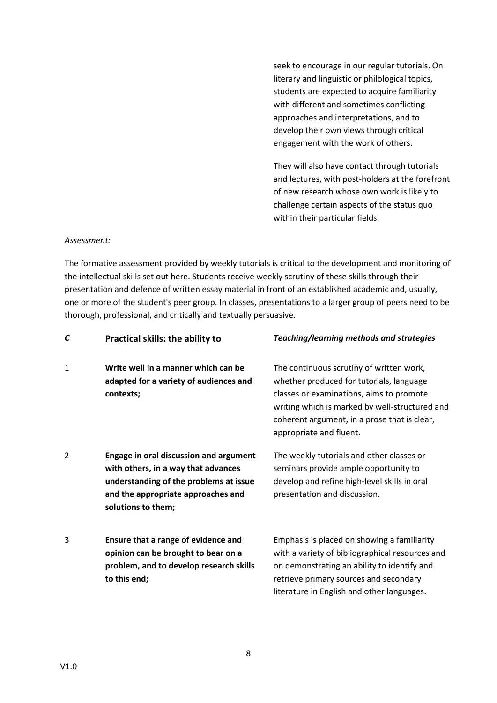seek to encourage in our regular tutorials. On literary and linguistic or philological topics, students are expected to acquire familiarity with different and sometimes conflicting approaches and interpretations, and to develop their own views through critical engagement with the work of others.

They will also have contact through tutorials and lectures, with post-holders at the forefront of new research whose own work is likely to challenge certain aspects of the status quo within their particular fields.

#### *Assessment:*

The formative assessment provided by weekly tutorials is critical to the development and monitoring of the intellectual skills set out here. Students receive weekly scrutiny of these skills through their presentation and defence of written essay material in front of an established academic and, usually, one or more of the student's peer group. In classes, presentations to a larger group of peers need to be thorough, professional, and critically and textually persuasive.

| С              | Practical skills: the ability to                                                                                                                                                           | <b>Teaching/learning methods and strategies</b>                                                                                                                                                                                                               |
|----------------|--------------------------------------------------------------------------------------------------------------------------------------------------------------------------------------------|---------------------------------------------------------------------------------------------------------------------------------------------------------------------------------------------------------------------------------------------------------------|
| 1              | Write well in a manner which can be<br>adapted for a variety of audiences and<br>contexts;                                                                                                 | The continuous scrutiny of written work,<br>whether produced for tutorials, language<br>classes or examinations, aims to promote<br>writing which is marked by well-structured and<br>coherent argument, in a prose that is clear,<br>appropriate and fluent. |
| $\overline{2}$ | <b>Engage in oral discussion and argument</b><br>with others, in a way that advances<br>understanding of the problems at issue<br>and the appropriate approaches and<br>solutions to them; | The weekly tutorials and other classes or<br>seminars provide ample opportunity to<br>develop and refine high-level skills in oral<br>presentation and discussion.                                                                                            |
| 3              | Ensure that a range of evidence and<br>opinion can be brought to bear on a<br>problem, and to develop research skills<br>to this end;                                                      | Emphasis is placed on showing a familiarity<br>with a variety of bibliographical resources and<br>on demonstrating an ability to identify and<br>retrieve primary sources and secondary<br>literature in English and other languages.                         |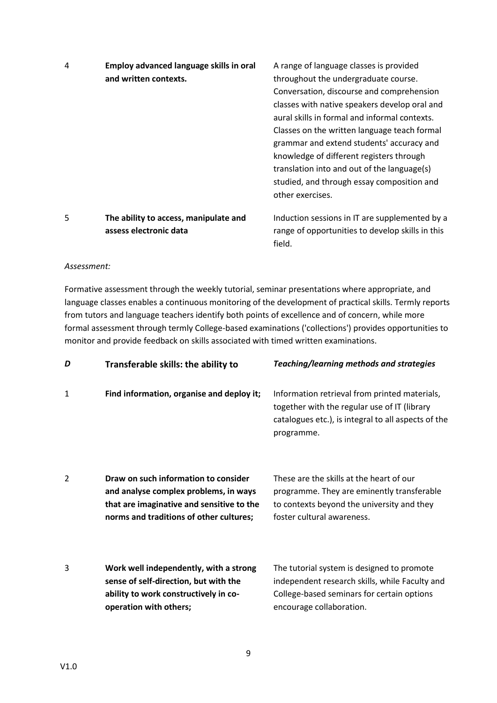| 4 | Employ advanced language skills in oral | A range of language classes is provided          |
|---|-----------------------------------------|--------------------------------------------------|
|   | and written contexts.                   | throughout the undergraduate course.             |
|   |                                         | Conversation, discourse and comprehension        |
|   |                                         | classes with native speakers develop oral and    |
|   |                                         | aural skills in formal and informal contexts.    |
|   |                                         | Classes on the written language teach formal     |
|   |                                         | grammar and extend students' accuracy and        |
|   |                                         | knowledge of different registers through         |
|   |                                         | translation into and out of the language(s)      |
|   |                                         | studied, and through essay composition and       |
|   |                                         | other exercises.                                 |
| 5 | The ability to access, manipulate and   | Induction sessions in IT are supplemented by a   |
|   | assess electronic data                  | range of opportunities to develop skills in this |

#### *Assessment:*

Formative assessment through the weekly tutorial, seminar presentations where appropriate, and language classes enables a continuous monitoring of the development of practical skills. Termly reports from tutors and language teachers identify both points of excellence and of concern, while more formal assessment through termly College-based examinations ('collections') provides opportunities to monitor and provide feedback on skills associated with timed written examinations.

field.

| D              | Transferable skills: the ability to                                                                                                                                   | <b>Teaching/learning methods and strategies</b>                                                                                                                        |
|----------------|-----------------------------------------------------------------------------------------------------------------------------------------------------------------------|------------------------------------------------------------------------------------------------------------------------------------------------------------------------|
| 1              | Find information, organise and deploy it;                                                                                                                             | Information retrieval from printed materials,<br>together with the regular use of IT (library<br>catalogues etc.), is integral to all aspects of the<br>programme.     |
| $\overline{2}$ | Draw on such information to consider<br>and analyse complex problems, in ways<br>that are imaginative and sensitive to the<br>norms and traditions of other cultures; | These are the skills at the heart of our<br>programme. They are eminently transferable<br>to contexts beyond the university and they<br>foster cultural awareness.     |
| 3              | Work well independently, with a strong<br>sense of self-direction, but with the<br>ability to work constructively in co-<br>operation with others;                    | The tutorial system is designed to promote<br>independent research skills, while Faculty and<br>College-based seminars for certain options<br>encourage collaboration. |

9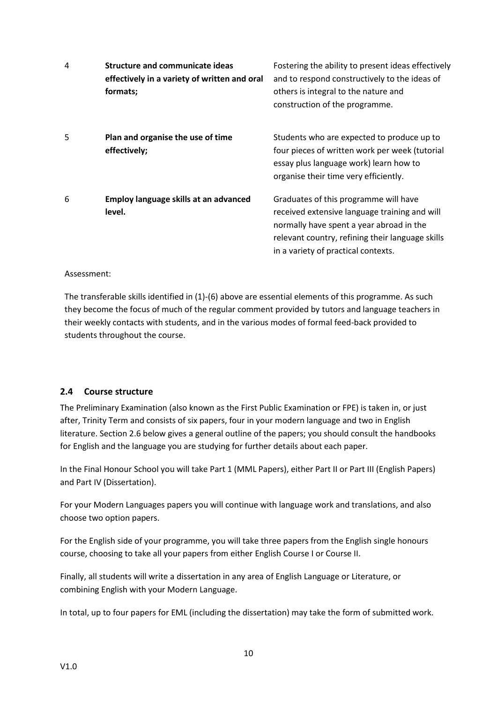| 4 | <b>Structure and communicate ideas</b><br>effectively in a variety of written and oral<br>formats; | Fostering the ability to present ideas effectively<br>and to respond constructively to the ideas of<br>others is integral to the nature and<br>construction of the programme.                                                 |
|---|----------------------------------------------------------------------------------------------------|-------------------------------------------------------------------------------------------------------------------------------------------------------------------------------------------------------------------------------|
| 5 | Plan and organise the use of time<br>effectively;                                                  | Students who are expected to produce up to<br>four pieces of written work per week (tutorial<br>essay plus language work) learn how to<br>organise their time very efficiently.                                               |
| 6 | Employ language skills at an advanced<br>level.                                                    | Graduates of this programme will have<br>received extensive language training and will<br>normally have spent a year abroad in the<br>relevant country, refining their language skills<br>in a variety of practical contexts. |

#### Assessment:

The transferable skills identified in (1)-(6) above are essential elements of this programme. As such they become the focus of much of the regular comment provided by tutors and language teachers in their weekly contacts with students, and in the various modes of formal feed-back provided to students throughout the course.

#### <span id="page-10-0"></span>**2.4 Course structure**

The Preliminary Examination (also known as the First Public Examination or FPE) is taken in, or just after, Trinity Term and consists of six papers, four in your modern language and two in English literature. Section 2.6 below gives a general outline of the papers; you should consult the handbooks for English and the language you are studying for further details about each paper.

In the Final Honour School you will take Part 1 (MML Papers), either Part II or Part III (English Papers) and Part IV (Dissertation).

For your Modern Languages papers you will continue with language work and translations, and also choose two option papers.

For the English side of your programme, you will take three papers from the English single honours course, choosing to take all your papers from either English Course I or Course II.

Finally, all students will write a dissertation in any area of English Language or Literature, or combining English with your Modern Language.

In total, up to four papers for EML (including the dissertation) may take the form of submitted work.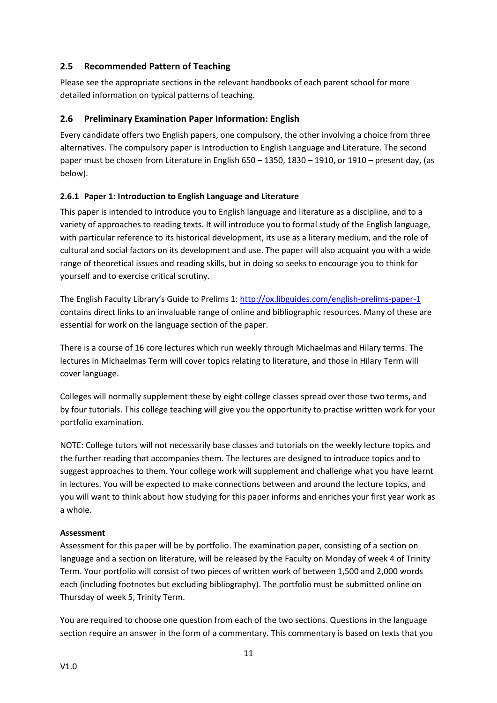# <span id="page-11-0"></span>**2.5 Recommended Pattern of Teaching**

Please see the appropriate sections in the relevant handbooks of each parent school for more detailed information on typical patterns of teaching.

# <span id="page-11-1"></span>**2.6 Preliminary Examination Paper Information: English**

Every candidate offers two English papers, one compulsory, the other involving a choice from three alternatives. The compulsory paper is Introduction to English Language and Literature. The second paper must be chosen from Literature in English 650 – 1350, 1830 – 1910, or 1910 – present day, (as below).

#### <span id="page-11-2"></span>**2.6.1 Paper 1: Introduction to English Language and Literature**

This paper is intended to introduce you to English language and literature as a discipline, and to a variety of approaches to reading texts. It will introduce you to formal study of the English language, with particular reference to its historical development, its use as a literary medium, and the role of cultural and social factors on its development and use. The paper will also acquaint you with a wide range of theoretical issues and reading skills, but in doing so seeks to encourage you to think for yourself and to exercise critical scrutiny.

The English Faculty Library's Guide to Prelims 1[: http://ox.libguides.com/english-prelims-paper-1](http://ox.libguides.com/english-prelims-paper-1) contains direct links to an invaluable range of online and bibliographic resources. Many of these are essential for work on the language section of the paper.

There is a course of 16 core lectures which run weekly through Michaelmas and Hilary terms. The lectures in Michaelmas Term will cover topics relating to literature, and those in Hilary Term will cover language.

Colleges will normally supplement these by eight college classes spread over those two terms, and by four tutorials. This college teaching will give you the opportunity to practise written work for your portfolio examination.

NOTE: College tutors will not necessarily base classes and tutorials on the weekly lecture topics and the further reading that accompanies them. The lectures are designed to introduce topics and to suggest approaches to them. Your college work will supplement and challenge what you have learnt in lectures. You will be expected to make connections between and around the lecture topics, and you will want to think about how studying for this paper informs and enriches your first year work as a whole.

#### **Assessment**

Assessment for this paper will be by portfolio. The examination paper, consisting of a section on language and a section on literature, will be released by the Faculty on Monday of week 4 of Trinity Term. Your portfolio will consist of two pieces of written work of between 1,500 and 2,000 words each (including footnotes but excluding bibliography). The portfolio must be submitted online on Thursday of week 5, Trinity Term.

You are required to choose one question from each of the two sections. Questions in the language section require an answer in the form of a commentary. This commentary is based on texts that you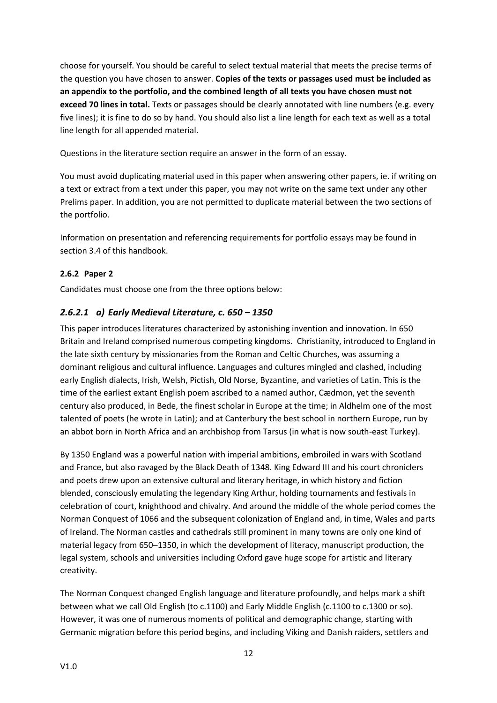choose for yourself. You should be careful to select textual material that meets the precise terms of the question you have chosen to answer. **Copies of the texts or passages used must be included as an appendix to the portfolio, and the combined length of all texts you have chosen must not exceed 70 lines in total.** Texts or passages should be clearly annotated with line numbers (e.g. every five lines); it is fine to do so by hand. You should also list a line length for each text as well as a total line length for all appended material.

Questions in the literature section require an answer in the form of an essay.

You must avoid duplicating material used in this paper when answering other papers, ie. if writing on a text or extract from a text under this paper, you may not write on the same text under any other Prelims paper. In addition, you are not permitted to duplicate material between the two sections of the portfolio.

Information on presentation and referencing requirements for portfolio essays may be found in section 3.4 of this handbook.

# <span id="page-12-0"></span>**2.6.2 Paper 2**

Candidates must choose one from the three options below:

# *2.6.2.1 a) Early Medieval Literature, c. 650 – 1350*

This paper introduces literatures characterized by astonishing invention and innovation. In 650 Britain and Ireland comprised numerous competing kingdoms. Christianity, introduced to England in the late sixth century by missionaries from the Roman and Celtic Churches, was assuming a dominant religious and cultural influence. Languages and cultures mingled and clashed, including early English dialects, Irish, Welsh, Pictish, Old Norse, Byzantine, and varieties of Latin. This is the time of the earliest extant English poem ascribed to a named author, Cædmon, yet the seventh century also produced, in Bede, the finest scholar in Europe at the time; in Aldhelm one of the most talented of poets (he wrote in Latin); and at Canterbury the best school in northern Europe, run by an abbot born in North Africa and an archbishop from Tarsus (in what is now south-east Turkey).

By 1350 England was a powerful nation with imperial ambitions, embroiled in wars with Scotland and France, but also ravaged by the Black Death of 1348. King Edward III and his court chroniclers and poets drew upon an extensive cultural and literary heritage, in which history and fiction blended, consciously emulating the legendary King Arthur, holding tournaments and festivals in celebration of court, knighthood and chivalry. And around the middle of the whole period comes the Norman Conquest of 1066 and the subsequent colonization of England and, in time, Wales and parts of Ireland. The Norman castles and cathedrals still prominent in many towns are only one kind of material legacy from 650–1350, in which the development of literacy, manuscript production, the legal system, schools and universities including Oxford gave huge scope for artistic and literary creativity.

The Norman Conquest changed English language and literature profoundly, and helps mark a shift between what we call Old English (to c.1100) and Early Middle English (c.1100 to c.1300 or so). However, it was one of numerous moments of political and demographic change, starting with Germanic migration before this period begins, and including Viking and Danish raiders, settlers and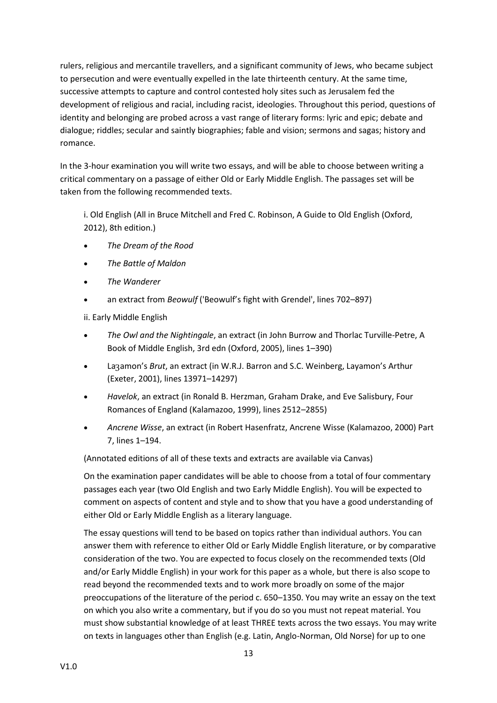rulers, religious and mercantile travellers, and a significant community of Jews, who became subject to persecution and were eventually expelled in the late thirteenth century. At the same time, successive attempts to capture and control contested holy sites such as Jerusalem fed the development of religious and racial, including racist, ideologies. Throughout this period, questions of identity and belonging are probed across a vast range of literary forms: lyric and epic; debate and dialogue; riddles; secular and saintly biographies; fable and vision; sermons and sagas; history and romance.

In the 3-hour examination you will write two essays, and will be able to choose between writing a critical commentary on a passage of either Old or Early Middle English. The passages set will be taken from the following recommended texts.

i. Old English (All in Bruce Mitchell and Fred C. Robinson, A Guide to Old English (Oxford, 2012), 8th edition.)

- *The Dream of the Rood*
- *The Battle of Maldon*
- *The Wanderer*
- an extract from *Beowulf* ('Beowulf's fight with Grendel', lines 702–897)

ii. Early Middle English

- *The Owl and the Nightingale*, an extract (in John Burrow and Thorlac Turville-Petre, A Book of Middle English, 3rd edn (Oxford, 2005), lines 1–390)
- Laȝamon's *Brut*, an extract (in W.R.J. Barron and S.C. Weinberg, Layamon's Arthur (Exeter, 2001), lines 13971–14297)
- *Havelok*, an extract (in Ronald B. Herzman, Graham Drake, and Eve Salisbury, Four Romances of England (Kalamazoo, 1999), lines 2512–2855)
- *Ancrene Wisse*, an extract (in Robert Hasenfratz, Ancrene Wisse (Kalamazoo, 2000) Part 7, lines 1–194.

(Annotated editions of all of these texts and extracts are available via Canvas)

On the examination paper candidates will be able to choose from a total of four commentary passages each year (two Old English and two Early Middle English). You will be expected to comment on aspects of content and style and to show that you have a good understanding of either Old or Early Middle English as a literary language.

The essay questions will tend to be based on topics rather than individual authors. You can answer them with reference to either Old or Early Middle English literature, or by comparative consideration of the two. You are expected to focus closely on the recommended texts (Old and/or Early Middle English) in your work for this paper as a whole, but there is also scope to read beyond the recommended texts and to work more broadly on some of the major preoccupations of the literature of the period c. 650–1350. You may write an essay on the text on which you also write a commentary, but if you do so you must not repeat material. You must show substantial knowledge of at least THREE texts across the two essays. You may write on texts in languages other than English (e.g. Latin, Anglo-Norman, Old Norse) for up to one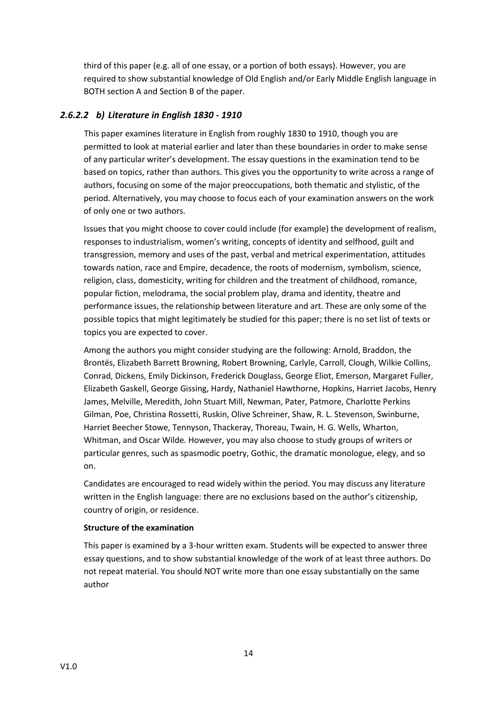third of this paper (e.g. all of one essay, or a portion of both essays). However, you are required to show substantial knowledge of Old English and/or Early Middle English language in BOTH section A and Section B of the paper.

# *2.6.2.2 b) Literature in English 1830 - 1910*

This paper examines literature in English from roughly 1830 to 1910, though you are permitted to look at material earlier and later than these boundaries in order to make sense of any particular writer's development. The essay questions in the examination tend to be based on topics, rather than authors. This gives you the opportunity to write across a range of authors, focusing on some of the major preoccupations, both thematic and stylistic, of the period. Alternatively, you may choose to focus each of your examination answers on the work of only one or two authors.

Issues that you might choose to cover could include (for example) the development of realism, responses to industrialism, women's writing, concepts of identity and selfhood, guilt and transgression, memory and uses of the past, verbal and metrical experimentation, attitudes towards nation, race and Empire, decadence, the roots of modernism, symbolism, science, religion, class, domesticity, writing for children and the treatment of childhood, romance, popular fiction, melodrama, the social problem play, drama and identity, theatre and performance issues, the relationship between literature and art. These are only some of the possible topics that might legitimately be studied for this paper; there is no set list of texts or topics you are expected to cover.

Among the authors you might consider studying are the following: Arnold, Braddon, the Brontës, Elizabeth Barrett Browning, Robert Browning, Carlyle, Carroll, Clough, Wilkie Collins, Conrad, Dickens, Emily Dickinson, Frederick Douglass, George Eliot, Emerson, Margaret Fuller, Elizabeth Gaskell, George Gissing, Hardy, Nathaniel Hawthorne, Hopkins, Harriet Jacobs, Henry James, Melville, Meredith, John Stuart Mill, Newman, Pater, Patmore, Charlotte Perkins Gilman, Poe, Christina Rossetti, Ruskin, Olive Schreiner, Shaw, R. L. Stevenson, Swinburne, Harriet Beecher Stowe, Tennyson, Thackeray, Thoreau, Twain, H. G. Wells, Wharton, Whitman, and Oscar Wilde. However, you may also choose to study groups of writers or particular genres, such as spasmodic poetry, Gothic, the dramatic monologue, elegy, and so on.

Candidates are encouraged to read widely within the period. You may discuss any literature written in the English language: there are no exclusions based on the author's citizenship, country of origin, or residence.

#### **Structure of the examination**

This paper is examined by a 3-hour written exam. Students will be expected to answer three essay questions, and to show substantial knowledge of the work of at least three authors. Do not repeat material. You should NOT write more than one essay substantially on the same author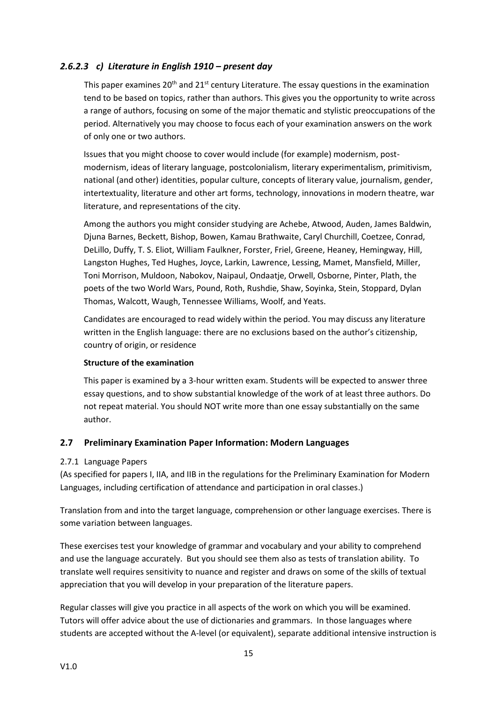# *2.6.2.3 c) Literature in English 1910 – present day*

This paper examines  $20<sup>th</sup>$  and  $21<sup>st</sup>$  century Literature. The essay questions in the examination tend to be based on topics, rather than authors. This gives you the opportunity to write across a range of authors, focusing on some of the major thematic and stylistic preoccupations of the period. Alternatively you may choose to focus each of your examination answers on the work of only one or two authors.

Issues that you might choose to cover would include (for example) modernism, postmodernism, ideas of literary language, postcolonialism, literary experimentalism, primitivism, national (and other) identities, popular culture, concepts of literary value, journalism, gender, intertextuality, literature and other art forms, technology, innovations in modern theatre, war literature, and representations of the city.

Among the authors you might consider studying are Achebe, Atwood, Auden, James Baldwin, Djuna Barnes, Beckett, Bishop, Bowen, Kamau Brathwaite, Caryl Churchill, Coetzee, Conrad, DeLillo, Duffy, T. S. Eliot, William Faulkner, Forster, Friel, Greene, Heaney, Hemingway, Hill, Langston Hughes, Ted Hughes, Joyce, Larkin, Lawrence, Lessing, Mamet, Mansfield, Miller, Toni Morrison, Muldoon, Nabokov, Naipaul, Ondaatje, Orwell, Osborne, Pinter, Plath, the poets of the two World Wars, Pound, Roth, Rushdie, Shaw, Soyinka, Stein, Stoppard, Dylan Thomas, Walcott, Waugh, Tennessee Williams, Woolf, and Yeats.

Candidates are encouraged to read widely within the period. You may discuss any literature written in the English language: there are no exclusions based on the author's citizenship, country of origin, or residence

#### **Structure of the examination**

This paper is examined by a 3-hour written exam. Students will be expected to answer three essay questions, and to show substantial knowledge of the work of at least three authors. Do not repeat material. You should NOT write more than one essay substantially on the same author.

#### <span id="page-15-0"></span>**2.7 Preliminary Examination Paper Information: Modern Languages**

#### <span id="page-15-1"></span>2.7.1 Language Papers

(As specified for papers I, IIA, and IIB in the regulations for the Preliminary Examination for Modern Languages, including certification of attendance and participation in oral classes.)

Translation from and into the target language, comprehension or other language exercises. There is some variation between languages.

These exercises test your knowledge of grammar and vocabulary and your ability to comprehend and use the language accurately. But you should see them also as tests of translation ability. To translate well requires sensitivity to nuance and register and draws on some of the skills of textual appreciation that you will develop in your preparation of the literature papers.

Regular classes will give you practice in all aspects of the work on which you will be examined. Tutors will offer advice about the use of dictionaries and grammars. In those languages where students are accepted without the A-level (or equivalent), separate additional intensive instruction is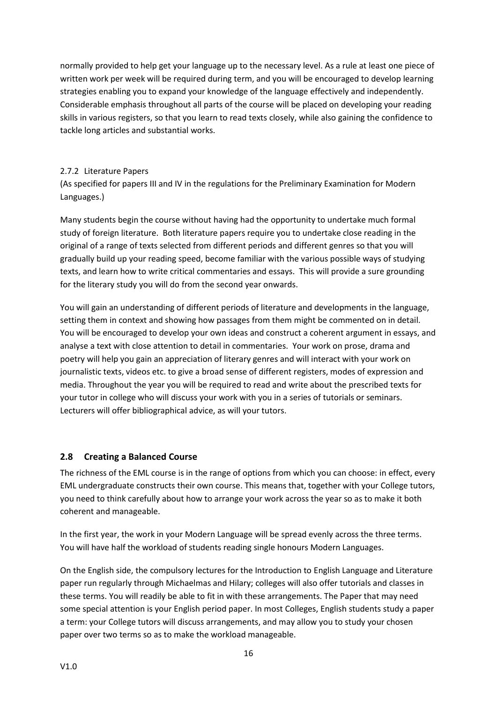normally provided to help get your language up to the necessary level. As a rule at least one piece of written work per week will be required during term, and you will be encouraged to develop learning strategies enabling you to expand your knowledge of the language effectively and independently. Considerable emphasis throughout all parts of the course will be placed on developing your reading skills in various registers, so that you learn to read texts closely, while also gaining the confidence to tackle long articles and substantial works.

#### <span id="page-16-0"></span>2.7.2 Literature Papers

(As specified for papers III and IV in the regulations for the Preliminary Examination for Modern Languages.)

Many students begin the course without having had the opportunity to undertake much formal study of foreign literature. Both literature papers require you to undertake close reading in the original of a range of texts selected from different periods and different genres so that you will gradually build up your reading speed, become familiar with the various possible ways of studying texts, and learn how to write critical commentaries and essays. This will provide a sure grounding for the literary study you will do from the second year onwards.

You will gain an understanding of different periods of literature and developments in the language, setting them in context and showing how passages from them might be commented on in detail. You will be encouraged to develop your own ideas and construct a coherent argument in essays, and analyse a text with close attention to detail in commentaries. Your work on prose, drama and poetry will help you gain an appreciation of literary genres and will interact with your work on journalistic texts, videos etc. to give a broad sense of different registers, modes of expression and media. Throughout the year you will be required to read and write about the prescribed texts for your tutor in college who will discuss your work with you in a series of tutorials or seminars. Lecturers will offer bibliographical advice, as will your tutors.

# <span id="page-16-1"></span>**2.8 Creating a Balanced Course**

The richness of the EML course is in the range of options from which you can choose: in effect, every EML undergraduate constructs their own course. This means that, together with your College tutors, you need to think carefully about how to arrange your work across the year so as to make it both coherent and manageable.

In the first year, the work in your Modern Language will be spread evenly across the three terms. You will have half the workload of students reading single honours Modern Languages.

On the English side, the compulsory lectures for the Introduction to English Language and Literature paper run regularly through Michaelmas and Hilary; colleges will also offer tutorials and classes in these terms. You will readily be able to fit in with these arrangements. The Paper that may need some special attention is your English period paper. In most Colleges, English students study a paper a term: your College tutors will discuss arrangements, and may allow you to study your chosen paper over two terms so as to make the workload manageable.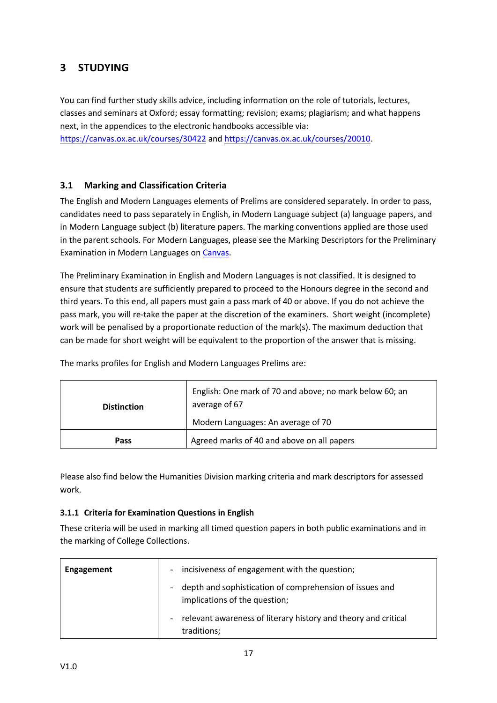# <span id="page-17-0"></span>**3 STUDYING**

You can find further study skills advice, including information on the role of tutorials, lectures, classes and seminars at Oxford; essay formatting; revision; exams; plagiarism; and what happens next, in the appendices to the electronic handbooks accessible via:

<https://canvas.ox.ac.uk/courses/30422> and [https://canvas.ox.ac.uk/courses/20010.](https://canvas.ox.ac.uk/courses/20010)

# <span id="page-17-1"></span>**3.1 Marking and Classification Criteria**

The English and Modern Languages elements of Prelims are considered separately. In order to pass, candidates need to pass separately in English, in Modern Language subject (a) language papers, and in Modern Language subject (b) literature papers. The marking conventions applied are those used in the parent schools. For Modern Languages, please see the Marking Descriptors for the Preliminary Examination in Modern Languages on [Canvas.](https://canvas.ox.ac.uk/courses/20010/files/1967133/download?wrap=1)

The Preliminary Examination in English and Modern Languages is not classified. It is designed to ensure that students are sufficiently prepared to proceed to the Honours degree in the second and third years. To this end, all papers must gain a pass mark of 40 or above. If you do not achieve the pass mark, you will re-take the paper at the discretion of the examiners. Short weight (incomplete) work will be penalised by a proportionate reduction of the mark(s). The maximum deduction that can be made for short weight will be equivalent to the proportion of the answer that is missing.

| <b>Distinction</b> | English: One mark of 70 and above; no mark below 60; an<br>average of 67 |
|--------------------|--------------------------------------------------------------------------|
|                    | Modern Languages: An average of 70                                       |
| Pass               | Agreed marks of 40 and above on all papers                               |

The marks profiles for English and Modern Languages Prelims are:

Please also find below the Humanities Division marking criteria and mark descriptors for assessed work.

#### <span id="page-17-2"></span>**3.1.1 Criteria for Examination Questions in English**

These criteria will be used in marking all timed question papers in both public examinations and in the marking of College Collections.

| <b>Engagement</b> | incisiveness of engagement with the question;<br>$\overline{\phantom{a}}$                |
|-------------------|------------------------------------------------------------------------------------------|
|                   | depth and sophistication of comprehension of issues and<br>implications of the question; |
|                   | relevant awareness of literary history and theory and critical<br>traditions;            |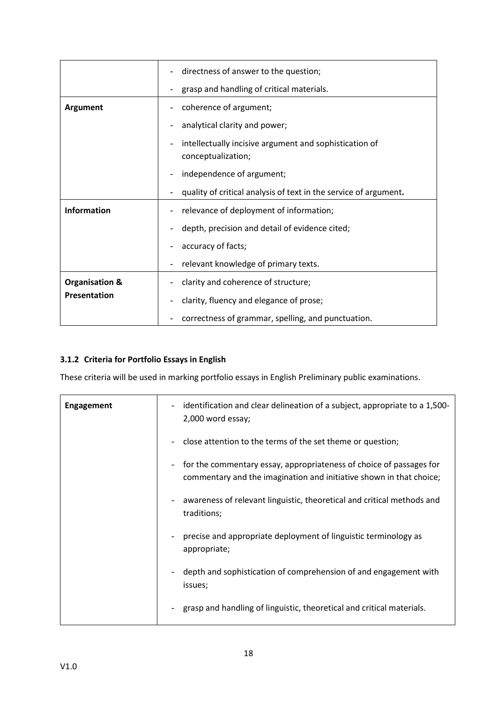|                           | directness of answer to the question;                                        |
|---------------------------|------------------------------------------------------------------------------|
|                           | grasp and handling of critical materials.                                    |
| Argument                  | coherence of argument;                                                       |
|                           | analytical clarity and power;                                                |
|                           | intellectually incisive argument and sophistication of<br>conceptualization; |
|                           | independence of argument;                                                    |
|                           | quality of critical analysis of text in the service of argument.             |
| Information               | relevance of deployment of information;                                      |
|                           | depth, precision and detail of evidence cited;                               |
|                           | accuracy of facts;                                                           |
|                           | relevant knowledge of primary texts.                                         |
| <b>Organisation &amp;</b> | clarity and coherence of structure;                                          |
| Presentation              | clarity, fluency and elegance of prose;                                      |
|                           | correctness of grammar, spelling, and punctuation.                           |

# <span id="page-18-0"></span>**3.1.2 Criteria for Portfolio Essays in English**

These criteria will be used in marking portfolio essays in English Preliminary public examinations.

| <b>Engagement</b> | identification and clear delineation of a subject, appropriate to a 1,500-<br>$\overline{\phantom{0}}$<br>2,000 word essay;                                            |  |
|-------------------|------------------------------------------------------------------------------------------------------------------------------------------------------------------------|--|
|                   | close attention to the terms of the set theme or question;                                                                                                             |  |
|                   | for the commentary essay, appropriateness of choice of passages for<br>$\overline{\phantom{a}}$<br>commentary and the imagination and initiative shown in that choice; |  |
|                   | awareness of relevant linguistic, theoretical and critical methods and<br>traditions;                                                                                  |  |
|                   | precise and appropriate deployment of linguistic terminology as<br>appropriate;                                                                                        |  |
|                   | depth and sophistication of comprehension of and engagement with<br>issues;                                                                                            |  |
|                   | grasp and handling of linguistic, theoretical and critical materials.                                                                                                  |  |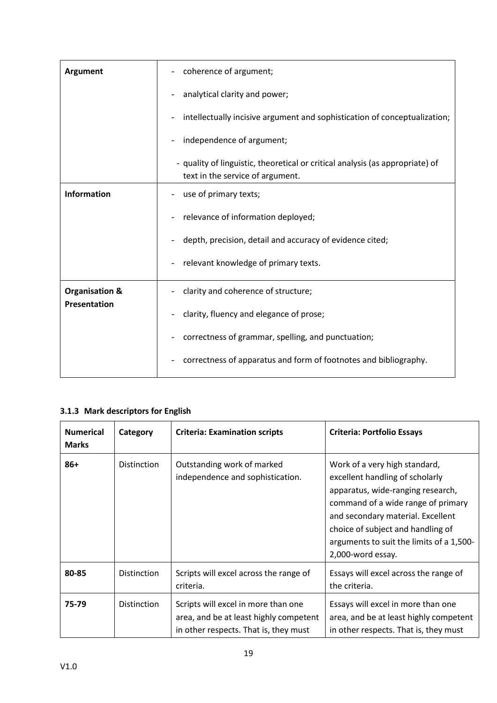| <b>Argument</b>           | coherence of argument;<br>$\overline{\phantom{a}}$                                                                |  |
|---------------------------|-------------------------------------------------------------------------------------------------------------------|--|
|                           | analytical clarity and power;                                                                                     |  |
|                           | intellectually incisive argument and sophistication of conceptualization;                                         |  |
|                           | independence of argument;                                                                                         |  |
|                           | - quality of linguistic, theoretical or critical analysis (as appropriate) of<br>text in the service of argument. |  |
| <b>Information</b>        | use of primary texts;                                                                                             |  |
|                           | relevance of information deployed;                                                                                |  |
|                           | depth, precision, detail and accuracy of evidence cited;<br>$\overline{\phantom{a}}$                              |  |
|                           | relevant knowledge of primary texts.                                                                              |  |
| <b>Organisation &amp;</b> | clarity and coherence of structure;                                                                               |  |
| Presentation              | clarity, fluency and elegance of prose;                                                                           |  |
|                           | correctness of grammar, spelling, and punctuation;                                                                |  |
|                           | correctness of apparatus and form of footnotes and bibliography.                                                  |  |

# <span id="page-19-0"></span>**3.1.3 Mark descriptors for English**

| <b>Numerical</b><br><b>Marks</b> | Category           | <b>Criteria: Examination scripts</b>                                                                                   | <b>Criteria: Portfolio Essays</b>                                                                                                                                                                                                                                                      |
|----------------------------------|--------------------|------------------------------------------------------------------------------------------------------------------------|----------------------------------------------------------------------------------------------------------------------------------------------------------------------------------------------------------------------------------------------------------------------------------------|
| $86+$                            | <b>Distinction</b> | Outstanding work of marked<br>independence and sophistication.                                                         | Work of a very high standard,<br>excellent handling of scholarly<br>apparatus, wide-ranging research,<br>command of a wide range of primary<br>and secondary material. Excellent<br>choice of subject and handling of<br>arguments to suit the limits of a 1,500-<br>2,000-word essay. |
| 80-85                            | <b>Distinction</b> | Scripts will excel across the range of<br>criteria.                                                                    | Essays will excel across the range of<br>the criteria.                                                                                                                                                                                                                                 |
| 75-79                            | <b>Distinction</b> | Scripts will excel in more than one<br>area, and be at least highly competent<br>in other respects. That is, they must | Essays will excel in more than one<br>area, and be at least highly competent<br>in other respects. That is, they must                                                                                                                                                                  |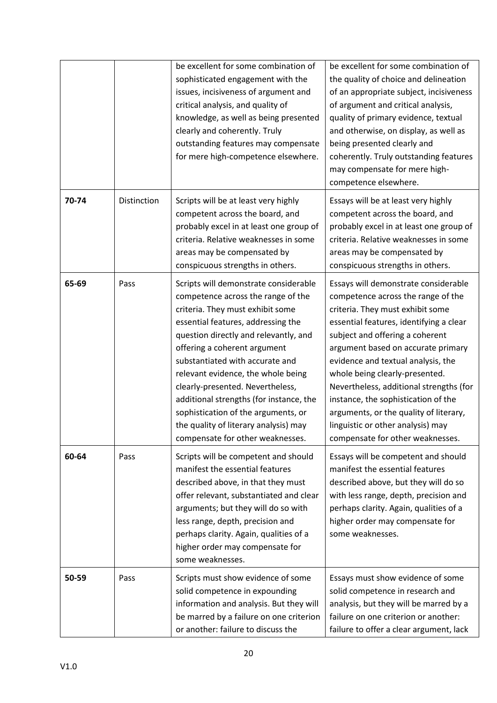|       |             | be excellent for some combination of<br>sophisticated engagement with the<br>issues, incisiveness of argument and<br>critical analysis, and quality of<br>knowledge, as well as being presented<br>clearly and coherently. Truly<br>outstanding features may compensate                                                                                                                                                                                                                                    | be excellent for some combination of<br>the quality of choice and delineation<br>of an appropriate subject, incisiveness<br>of argument and critical analysis,<br>quality of primary evidence, textual<br>and otherwise, on display, as well as<br>being presented clearly and                                                                                                                                                                                                                                  |
|-------|-------------|------------------------------------------------------------------------------------------------------------------------------------------------------------------------------------------------------------------------------------------------------------------------------------------------------------------------------------------------------------------------------------------------------------------------------------------------------------------------------------------------------------|-----------------------------------------------------------------------------------------------------------------------------------------------------------------------------------------------------------------------------------------------------------------------------------------------------------------------------------------------------------------------------------------------------------------------------------------------------------------------------------------------------------------|
|       |             | for mere high-competence elsewhere.                                                                                                                                                                                                                                                                                                                                                                                                                                                                        | coherently. Truly outstanding features<br>may compensate for mere high-<br>competence elsewhere.                                                                                                                                                                                                                                                                                                                                                                                                                |
| 70-74 | Distinction | Scripts will be at least very highly<br>competent across the board, and<br>probably excel in at least one group of<br>criteria. Relative weaknesses in some<br>areas may be compensated by<br>conspicuous strengths in others.                                                                                                                                                                                                                                                                             | Essays will be at least very highly<br>competent across the board, and<br>probably excel in at least one group of<br>criteria. Relative weaknesses in some<br>areas may be compensated by<br>conspicuous strengths in others.                                                                                                                                                                                                                                                                                   |
| 65-69 | Pass        | Scripts will demonstrate considerable<br>competence across the range of the<br>criteria. They must exhibit some<br>essential features, addressing the<br>question directly and relevantly, and<br>offering a coherent argument<br>substantiated with accurate and<br>relevant evidence, the whole being<br>clearly-presented. Nevertheless,<br>additional strengths (for instance, the<br>sophistication of the arguments, or<br>the quality of literary analysis) may<br>compensate for other weaknesses. | Essays will demonstrate considerable<br>competence across the range of the<br>criteria. They must exhibit some<br>essential features, identifying a clear<br>subject and offering a coherent<br>argument based on accurate primary<br>evidence and textual analysis, the<br>whole being clearly-presented.<br>Nevertheless, additional strengths (for<br>instance, the sophistication of the<br>arguments, or the quality of literary,<br>linguistic or other analysis) may<br>compensate for other weaknesses. |
| 60-64 | Pass        | Scripts will be competent and should<br>manifest the essential features<br>described above, in that they must<br>offer relevant, substantiated and clear<br>arguments; but they will do so with<br>less range, depth, precision and<br>perhaps clarity. Again, qualities of a<br>higher order may compensate for<br>some weaknesses.                                                                                                                                                                       | Essays will be competent and should<br>manifest the essential features<br>described above, but they will do so<br>with less range, depth, precision and<br>perhaps clarity. Again, qualities of a<br>higher order may compensate for<br>some weaknesses.                                                                                                                                                                                                                                                        |
| 50-59 | Pass        | Scripts must show evidence of some<br>solid competence in expounding<br>information and analysis. But they will<br>be marred by a failure on one criterion<br>or another: failure to discuss the                                                                                                                                                                                                                                                                                                           | Essays must show evidence of some<br>solid competence in research and<br>analysis, but they will be marred by a<br>failure on one criterion or another:<br>failure to offer a clear argument, lack                                                                                                                                                                                                                                                                                                              |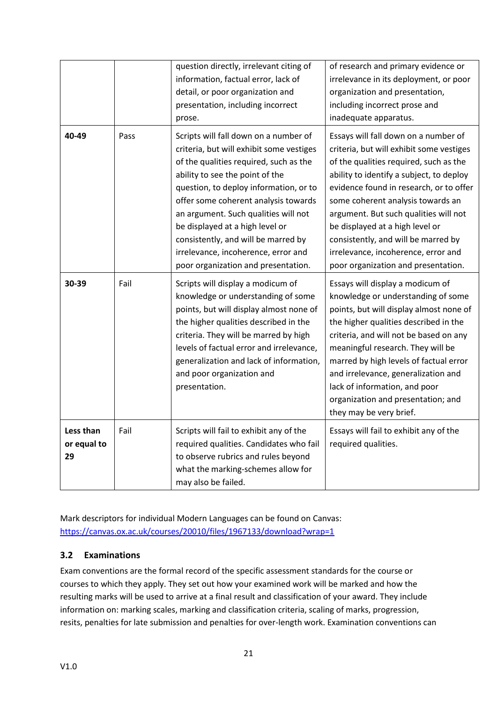|                                |      | question directly, irrelevant citing of<br>information, factual error, lack of<br>detail, or poor organization and<br>presentation, including incorrect<br>prose.                                                                                                                                                                                                                                                                                | of research and primary evidence or<br>irrelevance in its deployment, or poor<br>organization and presentation,<br>including incorrect prose and<br>inadequate apparatus.                                                                                                                                                                                                                                                                               |
|--------------------------------|------|--------------------------------------------------------------------------------------------------------------------------------------------------------------------------------------------------------------------------------------------------------------------------------------------------------------------------------------------------------------------------------------------------------------------------------------------------|---------------------------------------------------------------------------------------------------------------------------------------------------------------------------------------------------------------------------------------------------------------------------------------------------------------------------------------------------------------------------------------------------------------------------------------------------------|
| 40-49                          | Pass | Scripts will fall down on a number of<br>criteria, but will exhibit some vestiges<br>of the qualities required, such as the<br>ability to see the point of the<br>question, to deploy information, or to<br>offer some coherent analysis towards<br>an argument. Such qualities will not<br>be displayed at a high level or<br>consistently, and will be marred by<br>irrelevance, incoherence, error and<br>poor organization and presentation. | Essays will fall down on a number of<br>criteria, but will exhibit some vestiges<br>of the qualities required, such as the<br>ability to identify a subject, to deploy<br>evidence found in research, or to offer<br>some coherent analysis towards an<br>argument. But such qualities will not<br>be displayed at a high level or<br>consistently, and will be marred by<br>irrelevance, incoherence, error and<br>poor organization and presentation. |
| 30-39                          | Fail | Scripts will display a modicum of<br>knowledge or understanding of some<br>points, but will display almost none of<br>the higher qualities described in the<br>criteria. They will be marred by high<br>levels of factual error and irrelevance,<br>generalization and lack of information,<br>and poor organization and<br>presentation.                                                                                                        | Essays will display a modicum of<br>knowledge or understanding of some<br>points, but will display almost none of<br>the higher qualities described in the<br>criteria, and will not be based on any<br>meaningful research. They will be<br>marred by high levels of factual error<br>and irrelevance, generalization and<br>lack of information, and poor<br>organization and presentation; and<br>they may be very brief.                            |
| Less than<br>or equal to<br>29 | Fail | Scripts will fail to exhibit any of the<br>required qualities. Candidates who fail<br>to observe rubrics and rules beyond<br>what the marking-schemes allow for<br>may also be failed.                                                                                                                                                                                                                                                           | Essays will fail to exhibit any of the<br>required qualities.                                                                                                                                                                                                                                                                                                                                                                                           |

Mark descriptors for individual Modern Languages can be found on Canvas: <https://canvas.ox.ac.uk/courses/20010/files/1967133/download?wrap=1>

# <span id="page-21-0"></span>**3.2 Examinations**

Exam conventions are the formal record of the specific assessment standards for the course or courses to which they apply. They set out how your examined work will be marked and how the resulting marks will be used to arrive at a final result and classification of your award. They include information on: marking scales, marking and classification criteria, scaling of marks, progression, resits, penalties for late submission and penalties for over-length work. Examination conventions can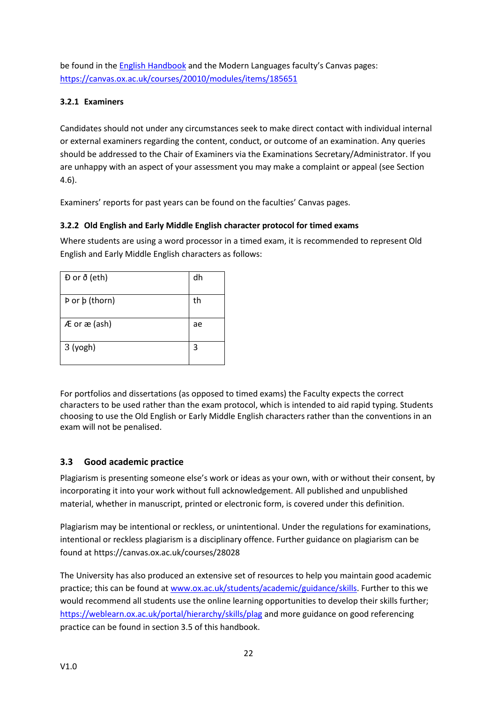be found in the English [Handbook](https://oess.web.ox.ac.uk/handbooks) and the Modern Languages faculty's Canvas pages: <https://canvas.ox.ac.uk/courses/20010/modules/items/185651>

## <span id="page-22-0"></span>**3.2.1 Examiners**

Candidates should not under any circumstances seek to make direct contact with individual internal or external examiners regarding the content, conduct, or outcome of an examination. Any queries should be addressed to the Chair of Examiners via the Examinations Secretary/Administrator. If you are unhappy with an aspect of your assessment you may make a complaint or appeal (see Section 4.6).

Examiners' reports for past years can be found on the faculties' Canvas pages.

# <span id="page-22-1"></span>**3.2.2 Old English and Early Middle English character protocol for timed exams**

Where students are using a word processor in a timed exam, it is recommended to represent Old English and Early Middle English characters as follows:

| $D$ or $\delta$ (eth) | dh |
|-----------------------|----|
| Þ or þ (thorn)        | th |
| $AE$ or $ae$ (ash)    | ae |
| 3 (yogh)              | 3  |

For portfolios and dissertations (as opposed to timed exams) the Faculty expects the correct characters to be used rather than the exam protocol, which is intended to aid rapid typing. Students choosing to use the Old English or Early Middle English characters rather than the conventions in an exam will not be penalised.

# <span id="page-22-2"></span>**3.3 Good academic practice**

Plagiarism is presenting someone else's work or ideas as your own, with or without their consent, by incorporating it into your work without full acknowledgement. All published and unpublished material, whether in manuscript, printed or electronic form, is covered under this definition.

Plagiarism may be intentional or reckless, or unintentional. Under the regulations for examinations, intentional or reckless plagiarism is a disciplinary offence. Further guidance on plagiarism can be found at https://canvas.ox.ac.uk/courses/28028

The University has also produced an extensive set of resources to help you maintain good academic practice; this can be found at [www.ox.ac.uk/students/academic/guidance/skills.](http://www.ox.ac.uk/students/academic/guidance/skills) Further to this we would recommend all students use the online learning opportunities to develop their skills further; <https://weblearn.ox.ac.uk/portal/hierarchy/skills/plag> and more guidance on good referencing practice can be found in section 3.5 of this handbook.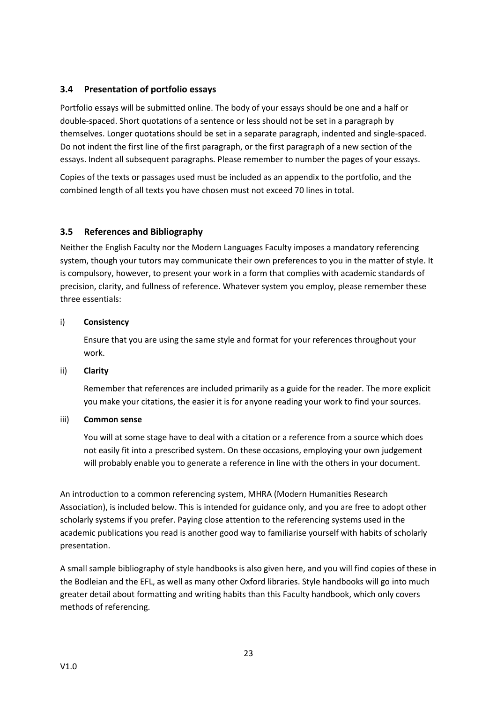## <span id="page-23-0"></span>**3.4 Presentation of portfolio essays**

Portfolio essays will be submitted online. The body of your essays should be one and a half or double-spaced. Short quotations of a sentence or less should not be set in a paragraph by themselves. Longer quotations should be set in a separate paragraph, indented and single-spaced. Do not indent the first line of the first paragraph, or the first paragraph of a new section of the essays. Indent all subsequent paragraphs. Please remember to number the pages of your essays.

Copies of the texts or passages used must be included as an appendix to the portfolio, and the combined length of all texts you have chosen must not exceed 70 lines in total.

#### <span id="page-23-1"></span>**3.5 References and Bibliography**

Neither the English Faculty nor the Modern Languages Faculty imposes a mandatory referencing system, though your tutors may communicate their own preferences to you in the matter of style. It is compulsory, however, to present your work in a form that complies with academic standards of precision, clarity, and fullness of reference. Whatever system you employ, please remember these three essentials:

#### i) **Consistency**

Ensure that you are using the same style and format for your references throughout your work.

#### ii) **Clarity**

Remember that references are included primarily as a guide for the reader. The more explicit you make your citations, the easier it is for anyone reading your work to find your sources.

#### iii) **Common sense**

You will at some stage have to deal with a citation or a reference from a source which does not easily fit into a prescribed system. On these occasions, employing your own judgement will probably enable you to generate a reference in line with the others in your document.

An introduction to a common referencing system, MHRA (Modern Humanities Research Association), is included below. This is intended for guidance only, and you are free to adopt other scholarly systems if you prefer. Paying close attention to the referencing systems used in the academic publications you read is another good way to familiarise yourself with habits of scholarly presentation.

A small sample bibliography of style handbooks is also given here, and you will find copies of these in the Bodleian and the EFL, as well as many other Oxford libraries. Style handbooks will go into much greater detail about formatting and writing habits than this Faculty handbook, which only covers methods of referencing.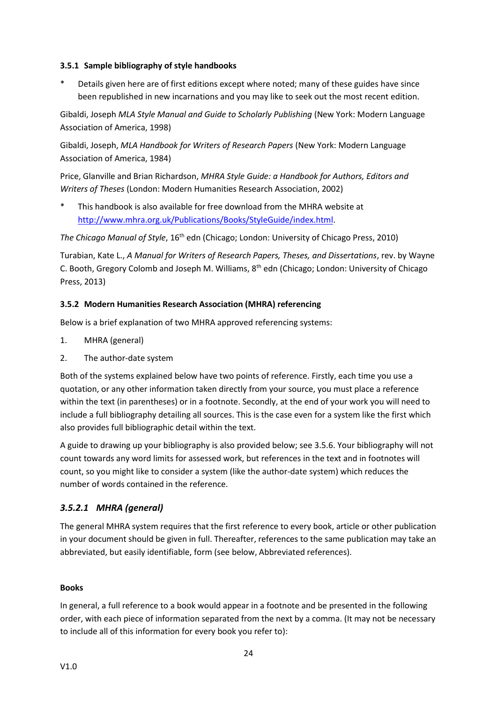#### <span id="page-24-0"></span>**3.5.1 Sample bibliography of style handbooks**

Details given here are of first editions except where noted; many of these guides have since been republished in new incarnations and you may like to seek out the most recent edition.

Gibaldi, Joseph *MLA Style Manual and Guide to Scholarly Publishing* (New York: Modern Language Association of America, 1998)

Gibaldi, Joseph, *MLA Handbook for Writers of Research Papers* (New York: Modern Language Association of America, 1984)

Price, Glanville and Brian Richardson, *MHRA Style Guide: a Handbook for Authors, Editors and Writers of Theses* (London: Modern Humanities Research Association, 2002)

This handbook is also available for free download from the MHRA website at [http://www.mhra.org.uk/Publications/Books/StyleGuide/index.html.](http://www.mhra.org.uk/Publications/Books/StyleGuide/index.html)

*The Chicago Manual of Style*, 16<sup>th</sup> edn (Chicago; London: University of Chicago Press, 2010)

Turabian, Kate L., *A Manual for Writers of Research Papers, Theses, and Dissertations*, rev. by Wayne C. Booth, Gregory Colomb and Joseph M. Williams, 8<sup>th</sup> edn (Chicago; London: University of Chicago Press, 2013)

#### <span id="page-24-1"></span>**3.5.2 Modern Humanities Research Association (MHRA) referencing**

Below is a brief explanation of two MHRA approved referencing systems:

- 1. MHRA (general)
- 2. The author-date system

Both of the systems explained below have two points of reference. Firstly, each time you use a quotation, or any other information taken directly from your source, you must place a reference within the text (in parentheses) or in a footnote. Secondly, at the end of your work you will need to include a full bibliography detailing all sources. This is the case even for a system like the first which also provides full bibliographic detail within the text.

A guide to drawing up your bibliography is also provided below; see 3.5.6. Your bibliography will not count towards any word limits for assessed work, but references in the text and in footnotes will count, so you might like to consider a system (like the author-date system) which reduces the number of words contained in the reference.

# *3.5.2.1 MHRA (general)*

The general MHRA system requires that the first reference to every book, article or other publication in your document should be given in full. Thereafter, references to the same publication may take an abbreviated, but easily identifiable, form (see below, Abbreviated references).

# **Books**

In general, a full reference to a book would appear in a footnote and be presented in the following order, with each piece of information separated from the next by a comma. (It may not be necessary to include all of this information for every book you refer to):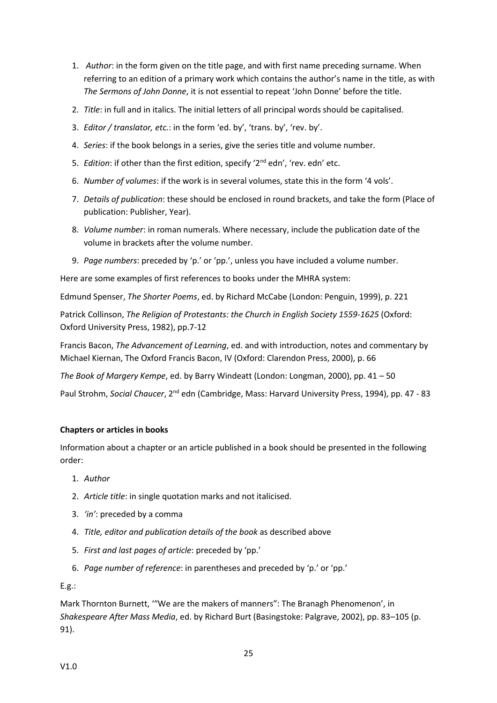- 1. *Author*: in the form given on the title page, and with first name preceding surname. When referring to an edition of a primary work which contains the author's name in the title, as with *The Sermons of John Donne*, it is not essential to repeat 'John Donne' before the title.
- 2. *Title*: in full and in italics. The initial letters of all principal words should be capitalised.
- 3. *Editor / translator, etc.*: in the form 'ed. by', 'trans. by', 'rev. by'.
- 4. *Series*: if the book belongs in a series, give the series title and volume number.
- 5. *Edition*: if other than the first edition, specify '2<sup>nd</sup> edn', 'rev. edn' etc.
- 6. *Number of volumes*: if the work is in several volumes, state this in the form '4 vols'.
- 7. *Details of publication*: these should be enclosed in round brackets, and take the form (Place of publication: Publisher, Year).
- 8. *Volume number*: in roman numerals. Where necessary, include the publication date of the volume in brackets after the volume number.
- 9. *Page numbers*: preceded by 'p.' or 'pp.', unless you have included a volume number.

Here are some examples of first references to books under the MHRA system:

Edmund Spenser, *The Shorter Poems*, ed. by Richard McCabe (London: Penguin, 1999), p. 221

Patrick Collinson, *The Religion of Protestants: the Church in English Society 1559-1625* (Oxford: Oxford University Press, 1982), pp.7-12

Francis Bacon, *The Advancement of Learning*, ed. and with introduction, notes and commentary by Michael Kiernan, The Oxford Francis Bacon, IV (Oxford: Clarendon Press, 2000), p. 66

*The Book of Margery Kempe*, ed. by Barry Windeatt (London: Longman, 2000), pp. 41 – 50

Paul Strohm, *Social Chaucer*, 2nd edn (Cambridge, Mass: Harvard University Press, 1994), pp. 47 - 83

#### **Chapters or articles in books**

Information about a chapter or an article published in a book should be presented in the following order:

- 1. *Author*
- 2. *Article title*: in single quotation marks and not italicised.
- 3. *'in'*: preceded by a comma
- 4. *Title, editor and publication details of the book* as described above
- 5. *First and last pages of article*: preceded by 'pp.'
- 6. *Page number of reference*: in parentheses and preceded by 'p.' or 'pp.'

E.g.:

Mark Thornton Burnett, '"We are the makers of manners": The Branagh Phenomenon', in *Shakespeare After Mass Media*, ed. by Richard Burt (Basingstoke: Palgrave, 2002), pp. 83–105 (p. 91).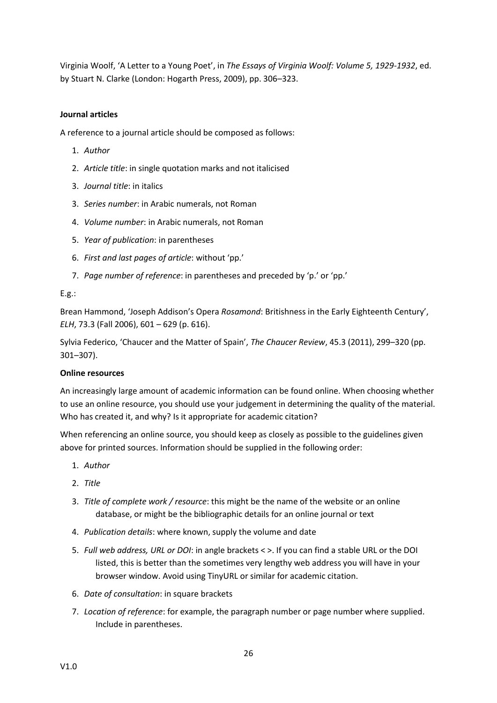Virginia Woolf, 'A Letter to a Young Poet', in *The Essays of Virginia Woolf: Volume 5, 1929-1932*, ed. by Stuart N. Clarke (London: Hogarth Press, 2009), pp. 306–323.

#### **Journal articles**

A reference to a journal article should be composed as follows:

- 1. *Author*
- 2. *Article title*: in single quotation marks and not italicised
- 3. *Journal title*: in italics
- 3. *Series number*: in Arabic numerals, not Roman
- 4. *Volume number*: in Arabic numerals, not Roman
- 5. *Year of publication*: in parentheses
- 6. *First and last pages of article*: without 'pp.'
- 7. *Page number of reference*: in parentheses and preceded by 'p.' or 'pp.'

#### E.g.:

Brean Hammond, 'Joseph Addison's Opera *Rosamond*: Britishness in the Early Eighteenth Century', *ELH*, 73.3 (Fall 2006), 601 – 629 (p. 616).

Sylvia Federico, 'Chaucer and the Matter of Spain', *The Chaucer Review*, 45.3 (2011), 299–320 (pp. 301–307).

#### **Online resources**

An increasingly large amount of academic information can be found online. When choosing whether to use an online resource, you should use your judgement in determining the quality of the material. Who has created it, and why? Is it appropriate for academic citation?

When referencing an online source, you should keep as closely as possible to the guidelines given above for printed sources. Information should be supplied in the following order:

- 1. *Author*
- 2. *Title*
- 3. *Title of complete work / resource*: this might be the name of the website or an online database, or might be the bibliographic details for an online journal or text
- 4. *Publication details*: where known, supply the volume and date
- 5. *Full web address, URL or DOI*: in angle brackets < >. If you can find a stable URL or the DOI listed, this is better than the sometimes very lengthy web address you will have in your browser window. Avoid using TinyURL or similar for academic citation.
- 6. *Date of consultation*: in square brackets
- 7. *Location of reference*: for example, the paragraph number or page number where supplied. Include in parentheses.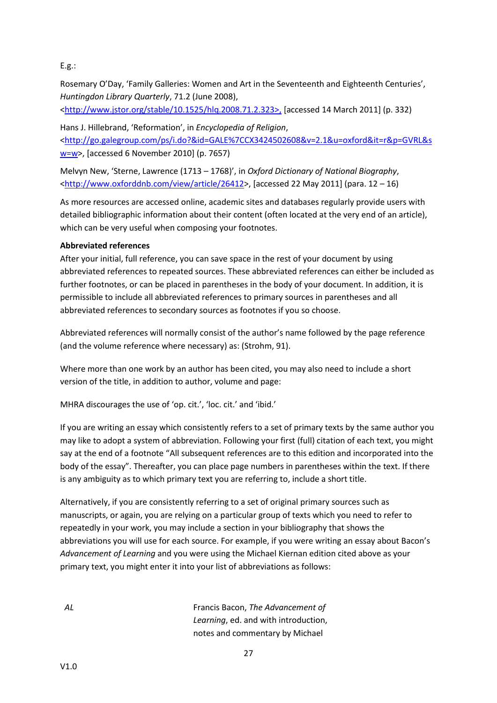#### E.g.:

Rosemary O'Day, 'Family Galleries: Women and Art in the Seventeenth and Eighteenth Centuries', *Huntingdon Library Quarterly*, 71.2 (June 2008),

[<http://www.jstor.org/stable/10.1525/hlq.2008.71.2.323>,](http://www.jstor.org/stable/10.1525/hlq.2008.71.2.323%3e,) [accessed 14 March 2011] (p. 332)

Hans J. Hillebrand, 'Reformation', in *Encyclopedia of Religion*, [<http://go.galegroup.com/ps/i.do?&id=GALE%7CCX3424502608&v=2.1&u=oxford&it=r&p=GVRL&s](http://go.galegroup.com/ps/i.do?&id=GALE%7CCX3424502608&v=2.1&u=oxford&it=r&p=GVRL&sw=w) [w=w>](http://go.galegroup.com/ps/i.do?&id=GALE%7CCX3424502608&v=2.1&u=oxford&it=r&p=GVRL&sw=w), [accessed 6 November 2010] (p. 7657)

Melvyn New, 'Sterne, Lawrence (1713 – 1768)', in *Oxford Dictionary of National Biography*,  $\text{~khtp://www.oxforddhb.com/view/article/26412>}$ , [accessed 22 May 2011] (para. 12 – 16)

As more resources are accessed online, academic sites and databases regularly provide users with detailed bibliographic information about their content (often located at the very end of an article), which can be very useful when composing your footnotes.

#### **Abbreviated references**

After your initial, full reference, you can save space in the rest of your document by using abbreviated references to repeated sources. These abbreviated references can either be included as further footnotes, or can be placed in parentheses in the body of your document. In addition, it is permissible to include all abbreviated references to primary sources in parentheses and all abbreviated references to secondary sources as footnotes if you so choose.

Abbreviated references will normally consist of the author's name followed by the page reference (and the volume reference where necessary) as: (Strohm, 91).

Where more than one work by an author has been cited, you may also need to include a short version of the title, in addition to author, volume and page:

MHRA discourages the use of 'op. cit.', 'loc. cit.' and 'ibid.'

If you are writing an essay which consistently refers to a set of primary texts by the same author you may like to adopt a system of abbreviation. Following your first (full) citation of each text, you might say at the end of a footnote "All subsequent references are to this edition and incorporated into the body of the essay". Thereafter, you can place page numbers in parentheses within the text. If there is any ambiguity as to which primary text you are referring to, include a short title.

Alternatively, if you are consistently referring to a set of original primary sources such as manuscripts, or again, you are relying on a particular group of texts which you need to refer to repeatedly in your work, you may include a section in your bibliography that shows the abbreviations you will use for each source. For example, if you were writing an essay about Bacon's *Advancement of Learning* and you were using the Michael Kiernan edition cited above as your primary text, you might enter it into your list of abbreviations as follows:

*AL* Francis Bacon, *The Advancement of Learning*, ed. and with introduction, notes and commentary by Michael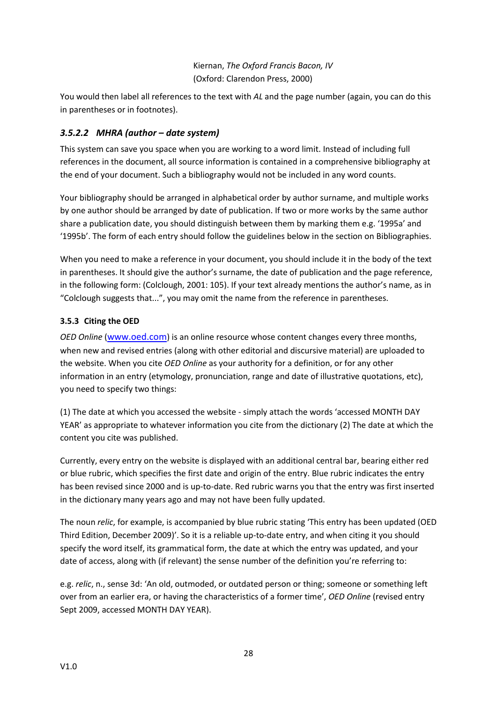# Kiernan, *The Oxford Francis Bacon, IV* (Oxford: Clarendon Press, 2000)

You would then label all references to the text with *AL* and the page number (again, you can do this in parentheses or in footnotes).

# *3.5.2.2 MHRA (author – date system)*

This system can save you space when you are working to a word limit. Instead of including full references in the document, all source information is contained in a comprehensive bibliography at the end of your document. Such a bibliography would not be included in any word counts.

Your bibliography should be arranged in alphabetical order by author surname, and multiple works by one author should be arranged by date of publication. If two or more works by the same author share a publication date, you should distinguish between them by marking them e.g. '1995a' and '1995b'. The form of each entry should follow the guidelines below in the section on Bibliographies.

When you need to make a reference in your document, you should include it in the body of the text in parentheses. It should give the author's surname, the date of publication and the page reference, in the following form: (Colclough, 2001: 105). If your text already mentions the author's name, as in "Colclough suggests that...", you may omit the name from the reference in parentheses.

# <span id="page-28-0"></span>**3.5.3 Citing the OED**

*OED Online* ([www.oed.com](http://www.oed.com/)) is an online resource whose content changes every three months, when new and revised entries (along with other editorial and discursive material) are uploaded to the website. When you cite *OED Online* as your authority for a definition, or for any other information in an entry (etymology, pronunciation, range and date of illustrative quotations, etc), you need to specify two things:

(1) The date at which you accessed the website - simply attach the words 'accessed MONTH DAY YEAR' as appropriate to whatever information you cite from the dictionary (2) The date at which the content you cite was published.

Currently, every entry on the website is displayed with an additional central bar, bearing either red or blue rubric, which specifies the first date and origin of the entry. Blue rubric indicates the entry has been revised since 2000 and is up-to-date. Red rubric warns you that the entry was first inserted in the dictionary many years ago and may not have been fully updated.

The noun *relic*, for example, is accompanied by blue rubric stating 'This entry has been updated (OED Third Edition, December 2009)'. So it is a reliable up-to-date entry, and when citing it you should specify the word itself, its grammatical form, the date at which the entry was updated, and your date of access, along with (if relevant) the sense number of the definition you're referring to:

e.g. *relic*, n., sense 3d: 'An old, outmoded, or outdated person or thing; someone or something left over from an earlier era, or having the characteristics of a former time', *OED Online* (revised entry Sept 2009, accessed MONTH DAY YEAR).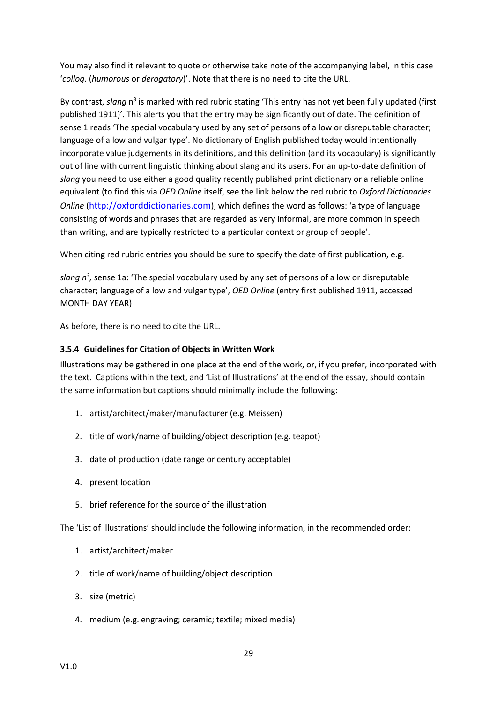You may also find it relevant to quote or otherwise take note of the accompanying label, in this case '*colloq.* (*humorous* or *derogatory*)'. Note that there is no need to cite the URL.

By contrast, slang n<sup>3</sup> is marked with red rubric stating 'This entry has not yet been fully updated (first published 1911)'. This alerts you that the entry may be significantly out of date. The definition of sense 1 reads 'The special vocabulary used by any set of persons of a low or disreputable character; language of a low and vulgar type'. No dictionary of English published today would intentionally incorporate value judgements in its definitions, and this definition (and its vocabulary) is significantly out of line with current linguistic thinking about slang and its users. For an up-to-date definition of *slang* you need to use either a good quality recently published print dictionary or a reliable online equivalent (to find this via *OED Online* itself, see the link below the red rubric to *Oxford Dictionaries Online* ([http://oxforddictionaries.com](http://oxforddictionaries.com/)), which defines the word as follows: 'a type of language consisting of words and phrases that are regarded as very informal, are more common in speech than writing, and are typically restricted to a particular context or group of people'.

When citing red rubric entries you should be sure to specify the date of first publication, e.g.

slang n<sup>3</sup>, sense 1a: 'The special vocabulary used by any set of persons of a low or disreputable character; language of a low and vulgar type', *OED Online* (entry first published 1911, accessed MONTH DAY YEAR)

As before, there is no need to cite the URL.

#### <span id="page-29-0"></span>**3.5.4 Guidelines for Citation of Objects in Written Work**

Illustrations may be gathered in one place at the end of the work, or, if you prefer, incorporated with the text. Captions within the text, and 'List of Illustrations' at the end of the essay, should contain the same information but captions should minimally include the following:

- 1. artist/architect/maker/manufacturer (e.g. Meissen)
- 2. title of work/name of building/object description (e.g. teapot)
- 3. date of production (date range or century acceptable)
- 4. present location
- 5. brief reference for the source of the illustration

The 'List of Illustrations' should include the following information, in the recommended order:

- 1. artist/architect/maker
- 2. title of work/name of building/object description
- 3. size (metric)
- 4. medium (e.g. engraving; ceramic; textile; mixed media)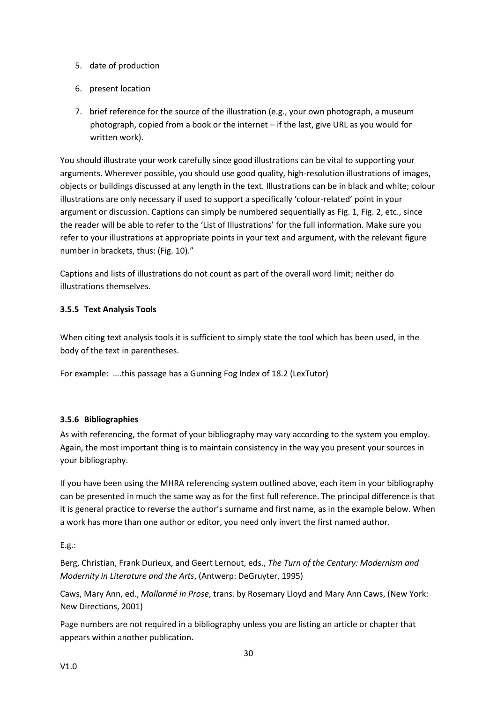- 5. date of production
- 6. present location
- 7. brief reference for the source of the illustration (e.g., your own photograph, a museum photograph, copied from a book or the internet – if the last, give URL as you would for written work).

You should illustrate your work carefully since good illustrations can be vital to supporting your arguments. Wherever possible, you should use good quality, high-resolution illustrations of images, objects or buildings discussed at any length in the text. Illustrations can be in black and white; colour illustrations are only necessary if used to support a specifically 'colour-related' point in your argument or discussion. Captions can simply be numbered sequentially as Fig. 1, Fig. 2, etc., since the reader will be able to refer to the 'List of Illustrations' for the full information. Make sure you refer to your illustrations at appropriate points in your text and argument, with the relevant figure number in brackets, thus: (Fig. 10)."

Captions and lists of illustrations do not count as part of the overall word limit; neither do illustrations themselves.

#### <span id="page-30-0"></span>**3.5.5 Text Analysis Tools**

When citing text analysis tools it is sufficient to simply state the tool which has been used, in the body of the text in parentheses.

For example: ….this passage has a Gunning Fog Index of 18.2 (LexTutor)

#### <span id="page-30-1"></span>**3.5.6 Bibliographies**

As with referencing, the format of your bibliography may vary according to the system you employ. Again, the most important thing is to maintain consistency in the way you present your sources in your bibliography.

If you have been using the MHRA referencing system outlined above, each item in your bibliography can be presented in much the same way as for the first full reference. The principal difference is that it is general practice to reverse the author's surname and first name, as in the example below. When a work has more than one author or editor, you need only invert the first named author.

#### E.g.:

Berg, Christian, Frank Durieux, and Geert Lernout, eds., *The Turn of the Century: Modernism and Modernity in Literature and the Arts*, (Antwerp: DeGruyter, 1995)

Caws, Mary Ann, ed., *Mallarmé in Prose*, trans. by Rosemary Lloyd and Mary Ann Caws, (New York: New Directions, 2001)

Page numbers are not required in a bibliography unless you are listing an article or chapter that appears within another publication.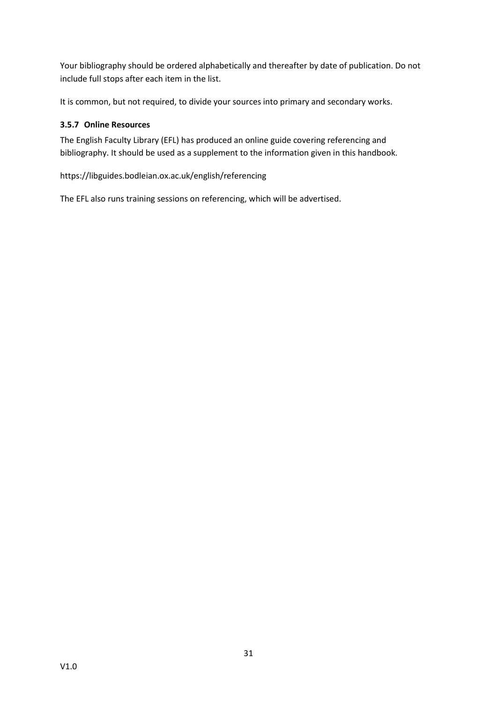Your bibliography should be ordered alphabetically and thereafter by date of publication. Do not include full stops after each item in the list.

It is common, but not required, to divide your sources into primary and secondary works.

#### <span id="page-31-0"></span>**3.5.7 Online Resources**

The English Faculty Library (EFL) has produced an online guide covering referencing and bibliography. It should be used as a supplement to the information given in this handbook.

https://libguides.bodleian.ox.ac.uk/english/referencing

The EFL also runs training sessions on referencing, which will be advertised.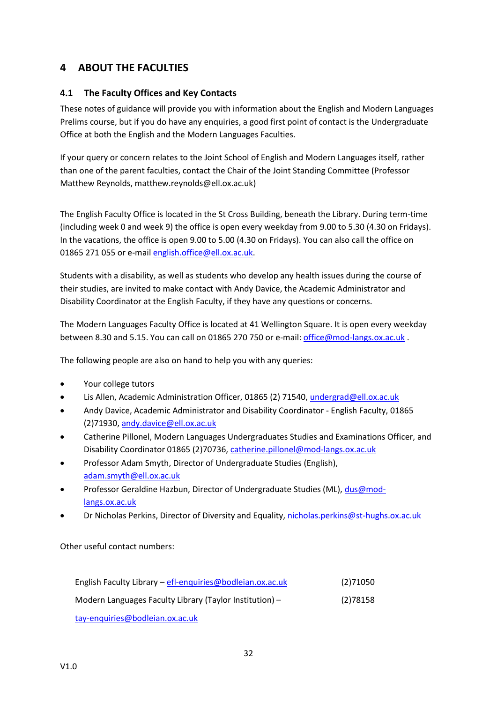# <span id="page-32-0"></span>**4 ABOUT THE FACULTIES**

# <span id="page-32-1"></span>**4.1 The Faculty Offices and Key Contacts**

These notes of guidance will provide you with information about the English and Modern Languages Prelims course, but if you do have any enquiries, a good first point of contact is the Undergraduate Office at both the English and the Modern Languages Faculties.

If your query or concern relates to the Joint School of English and Modern Languages itself, rather than one of the parent faculties, contact the Chair of the Joint Standing Committee (Professor Matthew Reynolds, matthew.reynolds@ell.ox.ac.uk)

The English Faculty Office is located in the St Cross Building, beneath the Library. During term-time (including week 0 and week 9) the office is open every weekday from 9.00 to 5.30 (4.30 on Fridays). In the vacations, the office is open 9.00 to 5.00 (4.30 on Fridays). You can also call the office on 01865 271 055 or e-mai[l english.office@ell.ox.ac.uk.](mailto:english.office@ell.ox.ac.uk)

Students with a disability, as well as students who develop any health issues during the course of their studies, are invited to make contact with Andy Davice, the Academic Administrator and Disability Coordinator at the English Faculty, if they have any questions or concerns.

The Modern Languages Faculty Office is located at 41 Wellington Square. It is open every weekday between 8.30 and 5.15. You can call on 01865 270 750 or e-mail[: office@mod-langs.ox.ac.uk](mailto:office@mod-langs.ox.ac.uk) .

The following people are also on hand to help you with any queries:

- Your college tutors
- Lis Allen, Academic Administration Officer, 01865 (2) 71540, [undergrad@ell.ox.ac.uk](mailto:undergrad@ell.ox.ac.uk)
- Andy Davice, Academic Administrator and Disability Coordinator English Faculty, 01865 (2)71930[, andy.davice@ell.ox.ac.uk](mailto:andy.davice@ell.ox.ac.uk)
- Catherine Pillonel, Modern Languages Undergraduates Studies and Examinations Officer, and Disability Coordinator 01865 (2)70736, [catherine.pillonel@mod-langs.ox.ac.uk](mailto:catherine.pillonel@mod-langs.ox.ac.uk)
- Professor Adam Smyth, Director of Undergraduate Studies (English), [adam.smyth@ell.ox.ac.uk](mailto:rebecca.beasley@ell.ox.ac.uk)
- Professor Geraldine Hazbun, Director of Undergraduate Studies (ML)[, dus@mod](mailto:michael.hawcroft@mod-langs.ox.ac.uk)[langs.ox.ac.uk](mailto:michael.hawcroft@mod-langs.ox.ac.uk)
- Dr Nicholas Perkins, Director of Diversity and Equality, [nicholas.perkins@st-hughs.ox.ac.uk](mailto:nicholas.perkins@st-hughs.ox.ac.uk)

Other useful contact numbers:

| English Faculty Library - efl-enquiries@bodleian.ox.ac.uk | (2)71050 |
|-----------------------------------------------------------|----------|
| Modern Languages Faculty Library (Taylor Institution) $-$ | (2)78158 |
| tay anguirias@hadlaian ay as uk                           |          |

[tay-enquiries@bodleian.ox.ac.uk](mailto:tay-enquiries@bodleian.ox.ac.uk)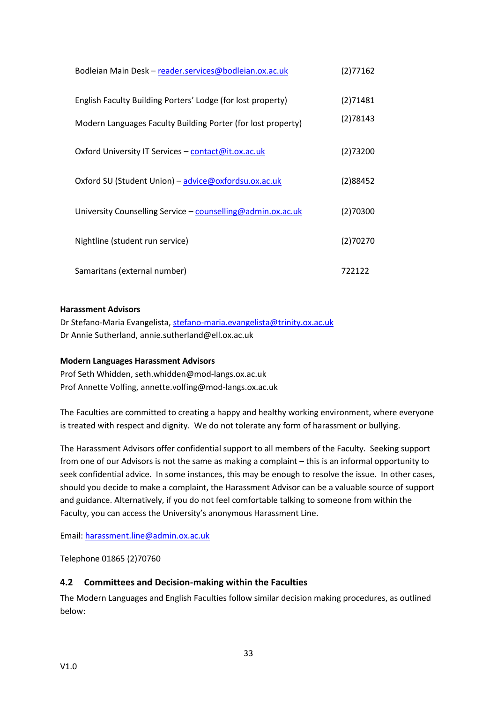| Bodleian Main Desk - reader.services@bodleian.ox.ac.uk       | (2)77162 |
|--------------------------------------------------------------|----------|
| English Faculty Building Porters' Lodge (for lost property)  | (2)71481 |
| Modern Languages Faculty Building Porter (for lost property) | (2)78143 |
| Oxford University IT Services – contact@it.ox.ac.uk          | (2)73200 |
| Oxford SU (Student Union) – advice@oxfordsu.ox.ac.uk         | (2)88452 |
| University Counselling Service - counselling@admin.ox.ac.uk  | (2)70300 |
| Nightline (student run service)                              | (2)70270 |
| Samaritans (external number)                                 | 722122   |

#### **Harassment Advisors**

Dr Stefano-Maria Evangelista, [stefano-maria.evangelista@trinity.ox.ac.uk](mailto:stefano-maria.evangelista@trinity.ox.ac.uk) Dr Annie Sutherland, annie.sutherland@ell.ox.ac.uk

#### **Modern Languages Harassment Advisors**

Prof Seth Whidden, seth.whidden@mod-langs.ox.ac.uk Prof Annette Volfing, annette.volfing@mod-langs.ox.ac.uk

The Faculties are committed to creating a happy and healthy working environment, where everyone is treated with respect and dignity. We do not tolerate any form of harassment or bullying.

The Harassment Advisors offer confidential support to all members of the Faculty. Seeking support from one of our Advisors is not the same as making a complaint – this is an informal opportunity to seek confidential advice. In some instances, this may be enough to resolve the issue. In other cases, should you decide to make a complaint, the Harassment Advisor can be a valuable source of support and guidance. Alternatively, if you do not feel comfortable talking to someone from within the Faculty, you can access the University's anonymous Harassment Line.

Email: [harassment.line@admin.ox.ac.uk](mailto:harassment.line@admin.ox.ac.uk)

Telephone 01865 (2)70760

#### <span id="page-33-0"></span>**4.2 Committees and Decision-making within the Faculties**

The Modern Languages and English Faculties follow similar decision making procedures, as outlined below: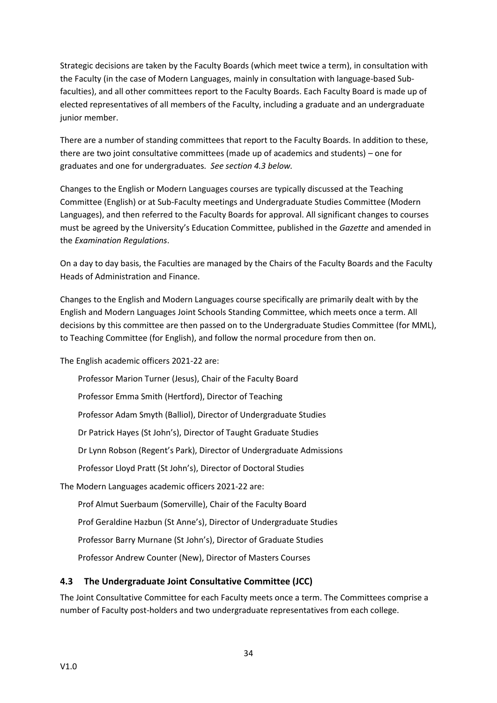Strategic decisions are taken by the Faculty Boards (which meet twice a term), in consultation with the Faculty (in the case of Modern Languages, mainly in consultation with language-based Subfaculties), and all other committees report to the Faculty Boards. Each Faculty Board is made up of elected representatives of all members of the Faculty, including a graduate and an undergraduate junior member.

There are a number of standing committees that report to the Faculty Boards. In addition to these, there are two joint consultative committees (made up of academics and students) – one for graduates and one for undergraduates*. See section 4.3 below.*

Changes to the English or Modern Languages courses are typically discussed at the Teaching Committee (English) or at Sub-Faculty meetings and Undergraduate Studies Committee (Modern Languages), and then referred to the Faculty Boards for approval. All significant changes to courses must be agreed by the University's Education Committee, published in the *Gazette* and amended in the *Examination Regulations*.

On a day to day basis, the Faculties are managed by the Chairs of the Faculty Boards and the Faculty Heads of Administration and Finance.

Changes to the English and Modern Languages course specifically are primarily dealt with by the English and Modern Languages Joint Schools Standing Committee, which meets once a term. All decisions by this committee are then passed on to the Undergraduate Studies Committee (for MML), to Teaching Committee (for English), and follow the normal procedure from then on.

The English academic officers 2021-22 are:

Professor Marion Turner (Jesus), Chair of the Faculty Board Professor Emma Smith (Hertford), Director of Teaching Professor Adam Smyth (Balliol), Director of Undergraduate Studies Dr Patrick Hayes (St John's), Director of Taught Graduate Studies Dr Lynn Robson (Regent's Park), Director of Undergraduate Admissions Professor Lloyd Pratt (St John's), Director of Doctoral Studies The Modern Languages academic officers 2021-22 are: Prof Almut Suerbaum (Somerville), Chair of the Faculty Board Prof Geraldine Hazbun (St Anne's), Director of Undergraduate Studies

Professor Barry Murnane (St John's), Director of Graduate Studies

Professor Andrew Counter (New), Director of Masters Courses

# <span id="page-34-0"></span>**4.3 The Undergraduate Joint Consultative Committee (JCC)**

The Joint Consultative Committee for each Faculty meets once a term. The Committees comprise a number of Faculty post-holders and two undergraduate representatives from each college.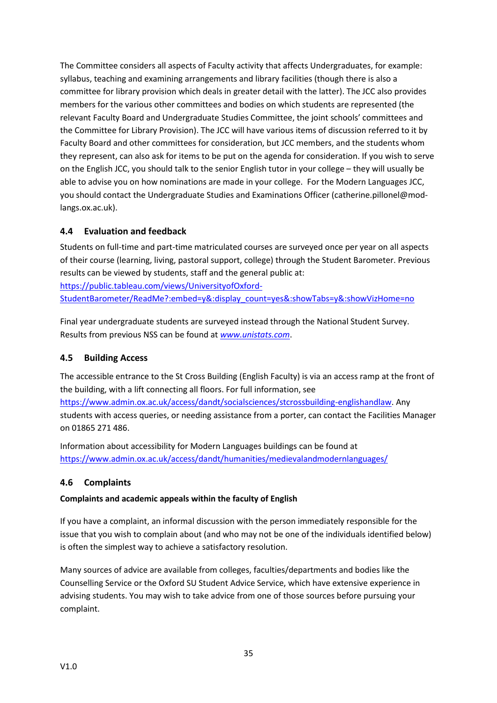The Committee considers all aspects of Faculty activity that affects Undergraduates, for example: syllabus, teaching and examining arrangements and library facilities (though there is also a committee for library provision which deals in greater detail with the latter). The JCC also provides members for the various other committees and bodies on which students are represented (the relevant Faculty Board and Undergraduate Studies Committee, the joint schools' committees and the Committee for Library Provision). The JCC will have various items of discussion referred to it by Faculty Board and other committees for consideration, but JCC members, and the students whom they represent, can also ask for items to be put on the agenda for consideration. If you wish to serve on the English JCC, you should talk to the senior English tutor in your college – they will usually be able to advise you on how nominations are made in your college. For the Modern Languages JCC, you should contact the Undergraduate Studies and Examinations Officer (catherine.pillonel@modlangs.ox.ac.uk).

# <span id="page-35-0"></span>**4.4 Evaluation and feedback**

Students on full-time and part-time matriculated courses are surveyed once per year on all aspects of their course (learning, living, pastoral support, college) through the Student Barometer. Previous results can be viewed by students, staff and the general public at:

[https://public.tableau.com/views/UniversityofOxford-](https://public.tableau.com/views/UniversityofOxford-StudentBarometer/ReadMe?:embed=y&:display_count=yes&:showTabs=y&:showVizHome=no)

[StudentBarometer/ReadMe?:embed=y&:display\\_count=yes&:showTabs=y&:showVizHome=no](https://public.tableau.com/views/UniversityofOxford-StudentBarometer/ReadMe?:embed=y&:display_count=yes&:showTabs=y&:showVizHome=no)

Final year undergraduate students are surveyed instead through the National Student Survey. Results from previous NSS can be found at *[www.unistats.com](http://www.unistats.com/)*.

# <span id="page-35-1"></span>**4.5 Building Access**

The accessible entrance to the St Cross Building (English Faculty) is via an access ramp at the front of the building, with a lift connecting all floors. For full information, see [https://www.admin.ox.ac.uk/access/dandt/socialsciences/stcrossbuilding-englishandlaw.](https://www.admin.ox.ac.uk/access/dandt/socialsciences/stcrossbuilding-englishandlaw) Any students with access queries, or needing assistance from a porter, can contact the Facilities Manager on 01865 271 486.

Information about accessibility for Modern Languages buildings can be found at <https://www.admin.ox.ac.uk/access/dandt/humanities/medievalandmodernlanguages/>

# <span id="page-35-2"></span>**4.6 Complaints**

# **Complaints and academic appeals within the faculty of English**

If you have a complaint, an informal discussion with the person immediately responsible for the issue that you wish to complain about (and who may not be one of the individuals identified below) is often the simplest way to achieve a satisfactory resolution.

Many sources of advice are available from colleges, faculties/departments and bodies like the Counselling Service or the Oxford SU Student Advice Service, which have extensive experience in advising students. You may wish to take advice from one of those sources before pursuing your complaint.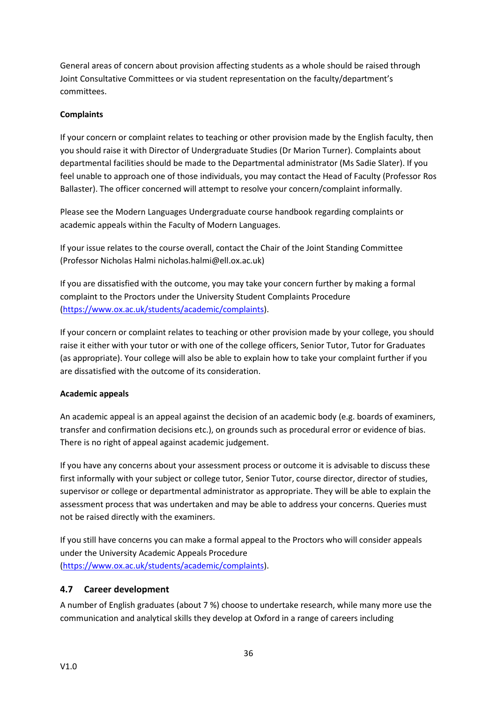General areas of concern about provision affecting students as a whole should be raised through Joint Consultative Committees or via student representation on the faculty/department's committees.

#### **Complaints**

If your concern or complaint relates to teaching or other provision made by the English faculty, then you should raise it with Director of Undergraduate Studies (Dr Marion Turner). Complaints about departmental facilities should be made to the Departmental administrator (Ms Sadie Slater). If you feel unable to approach one of those individuals, you may contact the Head of Faculty (Professor Ros Ballaster). The officer concerned will attempt to resolve your concern/complaint informally.

Please see the Modern Languages Undergraduate course handbook regarding complaints or academic appeals within the Faculty of Modern Languages.

If your issue relates to the course overall, contact the Chair of the Joint Standing Committee (Professor Nicholas Halmi nicholas.halmi@ell.ox.ac.uk)

If you are dissatisfied with the outcome, you may take your concern further by making a formal complaint to the Proctors under the University Student Complaints Procedure [\(https://www.ox.ac.uk/students/academic/complaints\)](https://www.ox.ac.uk/students/academic/complaints).

If your concern or complaint relates to teaching or other provision made by your college, you should raise it either with your tutor or with one of the college officers, Senior Tutor, Tutor for Graduates (as appropriate). Your college will also be able to explain how to take your complaint further if you are dissatisfied with the outcome of its consideration.

#### **Academic appeals**

An academic appeal is an appeal against the decision of an academic body (e.g. boards of examiners, transfer and confirmation decisions etc.), on grounds such as procedural error or evidence of bias. There is no right of appeal against academic judgement.

If you have any concerns about your assessment process or outcome it is advisable to discuss these first informally with your subject or college tutor, Senior Tutor, course director, director of studies, supervisor or college or departmental administrator as appropriate. They will be able to explain the assessment process that was undertaken and may be able to address your concerns. Queries must not be raised directly with the examiners.

If you still have concerns you can make a formal appeal to the Proctors who will consider appeals under the University Academic Appeals Procedure [\(https://www.ox.ac.uk/students/academic/complaints\)](https://www.ox.ac.uk/students/academic/complaints).

# <span id="page-36-0"></span>**4.7 Career development**

A number of English graduates (about 7 %) choose to undertake research, while many more use the communication and analytical skills they develop at Oxford in a range of careers including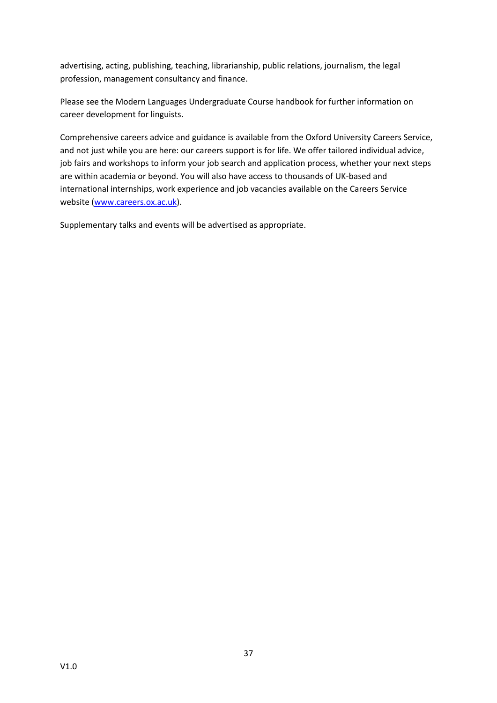advertising, acting, publishing, teaching, librarianship, public relations, journalism, the legal profession, management consultancy and finance.

Please see the Modern Languages Undergraduate Course handbook for further information on career development for linguists.

Comprehensive careers advice and guidance is available from the Oxford University Careers Service, and not just while you are here: our careers support is for life. We offer tailored individual advice, job fairs and workshops to inform your job search and application process, whether your next steps are within academia or beyond. You will also have access to thousands of UK-based and international internships, work experience and job vacancies available on the Careers Service website [\(www.careers.ox.ac.uk\)](http://www.careers.ox.ac.uk/).

Supplementary talks and events will be advertised as appropriate.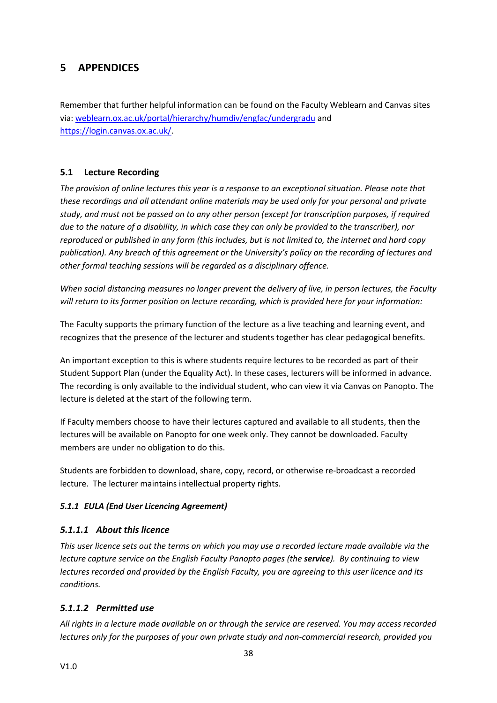# <span id="page-38-0"></span>**5 APPENDICES**

Remember that further helpful information can be found on the Faculty Weblearn and Canvas sites via: [weblearn.ox.ac.uk/portal/hierarchy/humdiv/engfac/undergradu](https://weblearn.ox.ac.uk/portal/hierarchy/humdiv/engfac/undergradu) and [https://login.canvas.ox.ac.uk/.](https://login.canvas.ox.ac.uk/)

# <span id="page-38-1"></span>**5.1 Lecture Recording**

*The provision of online lectures this year is a response to an exceptional situation. Please note that these recordings and all attendant online materials may be used only for your personal and private study, and must not be passed on to any other person (except for transcription purposes, if required due to the nature of a disability, in which case they can only be provided to the transcriber), nor reproduced or published in any form (this includes, but is not limited to, the internet and hard copy publication). Any breach of this agreement or the University's policy on the recording of lectures and other formal teaching sessions will be regarded as a disciplinary offence.* 

*When social distancing measures no longer prevent the delivery of live, in person lectures, the Faculty will return to its former position on lecture recording, which is provided here for your information:*

The Faculty supports the primary function of the lecture as a live teaching and learning event, and recognizes that the presence of the lecturer and students together has clear pedagogical benefits.

An important exception to this is where students require lectures to be recorded as part of their Student Support Plan (under the Equality Act). In these cases, lecturers will be informed in advance. The recording is only available to the individual student, who can view it via Canvas on Panopto. The lecture is deleted at the start of the following term.

If Faculty members choose to have their lectures captured and available to all students, then the lectures will be available on Panopto for one week only. They cannot be downloaded. Faculty members are under no obligation to do this.

Students are forbidden to download, share, copy, record, or otherwise re-broadcast a recorded lecture. The lecturer maintains intellectual property rights.

# <span id="page-38-2"></span>*5.1.1 EULA (End User Licencing Agreement)*

# *5.1.1.1 About this licence*

*This user licence sets out the terms on which you may use a recorded lecture made available via the lecture capture service on the English Faculty Panopto pages (the service). By continuing to view lectures recorded and provided by the English Faculty, you are agreeing to this user licence and its conditions.*

# *5.1.1.2 Permitted use*

*All rights in a lecture made available on or through the service are reserved. You may access recorded lectures only for the purposes of your own private study and non-commercial research, provided you*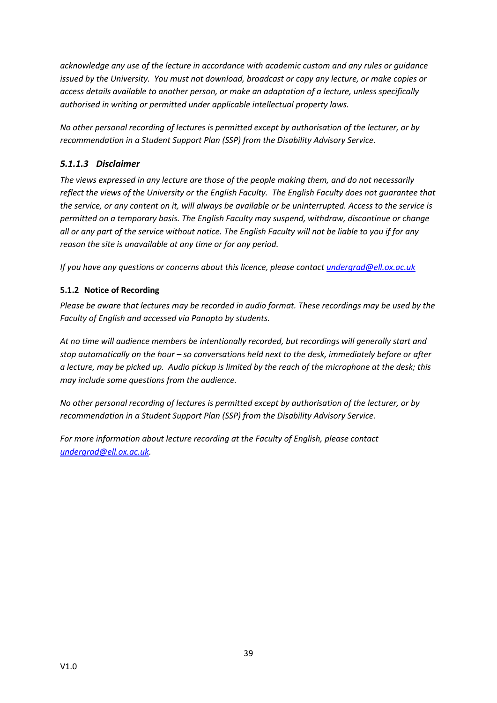*acknowledge any use of the lecture in accordance with academic custom and any rules or guidance issued by the University. You must not download, broadcast or copy any lecture, or make copies or access details available to another person, or make an adaptation of a lecture, unless specifically authorised in writing or permitted under applicable intellectual property laws.* 

*No other personal recording of lectures is permitted except by authorisation of the lecturer, or by recommendation in a Student Support Plan (SSP) from the Disability Advisory Service.*

# *5.1.1.3 Disclaimer*

*The views expressed in any lecture are those of the people making them, and do not necessarily reflect the views of the University or the English Faculty. The English Faculty does not guarantee that the service, or any content on it, will always be available or be uninterrupted. Access to the service is permitted on a temporary basis. The English Faculty may suspend, withdraw, discontinue or change all or any part of the service without notice. The English Faculty will not be liable to you if for any reason the site is unavailable at any time or for any period.*

*If you have any questions or concerns about this licence, please contact [undergrad@ell.ox.ac.uk](mailto:undergrad@ell.ox.ac.uk)*

# <span id="page-39-0"></span>**5.1.2 Notice of Recording**

*Please be aware that lectures may be recorded in audio format. These recordings may be used by the Faculty of English and accessed via Panopto by students.*

*At no time will audience members be intentionally recorded, but recordings will generally start and stop automatically on the hour – so conversations held next to the desk, immediately before or after a lecture, may be picked up. Audio pickup is limited by the reach of the microphone at the desk; this may include some questions from the audience.*

*No other personal recording of lectures is permitted except by authorisation of the lecturer, or by recommendation in a Student Support Plan (SSP) from the Disability Advisory Service.*

*For more information about lecture recording at the Faculty of English, please contact [undergrad@ell.ox.ac.uk.](mailto:undergrad@ell.ox.ac.uk)*